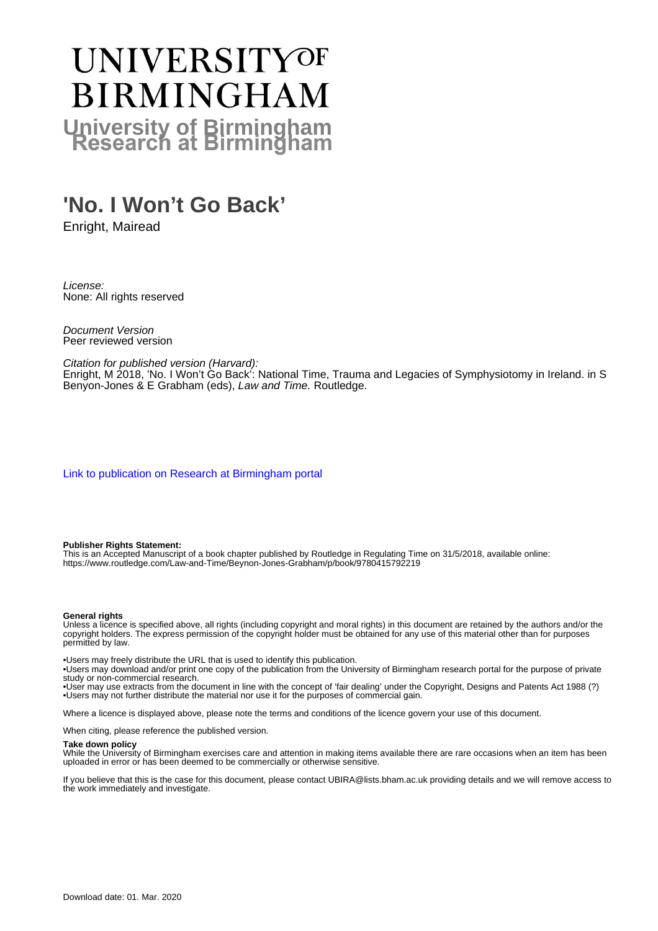# UNIVERSITYOF **BIRMINGHAM University of Birmingham**

# **'No. I Won't Go Back'**

Enright, Mairead

License: None: All rights reserved

Document Version Peer reviewed version

Citation for published version (Harvard):

Enright, M 2018, 'No. I Won't Go Back': National Time, Trauma and Legacies of Symphysiotomy in Ireland. in S Benyon-Jones & E Grabham (eds), Law and Time. Routledge.

[Link to publication on Research at Birmingham portal](https://research.birmingham.ac.uk/portal/en/publications/no-i-wont-go-back(78ba28d2-b5c1-4074-b647-36e174031ab7).html)

#### **Publisher Rights Statement:**

This is an Accepted Manuscript of a book chapter published by Routledge in Regulating Time on 31/5/2018, available online: https://www.routledge.com/Law-and-Time/Beynon-Jones-Grabham/p/book/9780415792219

#### **General rights**

Unless a licence is specified above, all rights (including copyright and moral rights) in this document are retained by the authors and/or the copyright holders. The express permission of the copyright holder must be obtained for any use of this material other than for purposes permitted by law.

• Users may freely distribute the URL that is used to identify this publication.

• Users may download and/or print one copy of the publication from the University of Birmingham research portal for the purpose of private study or non-commercial research.

• User may use extracts from the document in line with the concept of 'fair dealing' under the Copyright, Designs and Patents Act 1988 (?) • Users may not further distribute the material nor use it for the purposes of commercial gain.

Where a licence is displayed above, please note the terms and conditions of the licence govern your use of this document.

When citing, please reference the published version.

#### **Take down policy**

While the University of Birmingham exercises care and attention in making items available there are rare occasions when an item has been uploaded in error or has been deemed to be commercially or otherwise sensitive.

If you believe that this is the case for this document, please contact UBIRA@lists.bham.ac.uk providing details and we will remove access to the work immediately and investigate.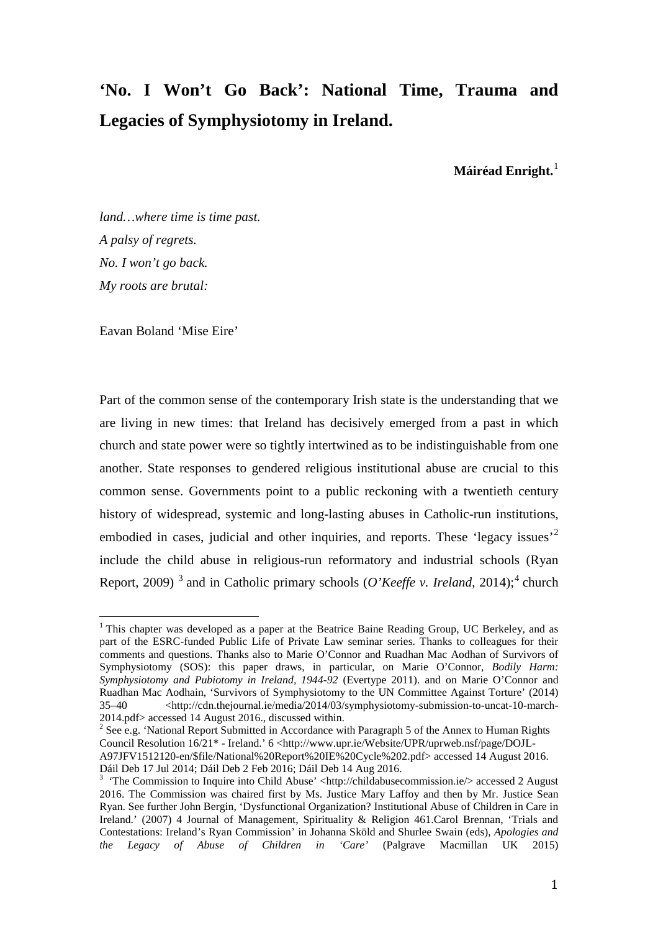# **'No. I Won't Go Back': National Time, Trauma and Legacies of Symphysiotomy in Ireland.**

**Máiréad Enright.**[1](#page-1-0)

*land…where time is time past. A palsy of regrets. No. I won't go back. My roots are brutal:*

Eavan Boland 'Mise Eire'

<span id="page-1-3"></span>Part of the common sense of the contemporary Irish state is the understanding that we are living in new times: that Ireland has decisively emerged from a past in which church and state power were so tightly intertwined as to be indistinguishable from one another. State responses to gendered religious institutional abuse are crucial to this common sense. Governments point to a public reckoning with a twentieth century history of widespread, systemic and long-lasting abuses in Catholic-run institutions, embodied in cases, judicial and other inquiries, and reports. These 'legacy issues'<sup>[2](#page-1-1)</sup> include the child abuse in religious-run reformatory and industrial schools (Ryan Report, 2009)<sup>[3](#page-1-2)</sup> and in Catholic primary schools (*O'Keeffe v. Ireland*, 201[4](#page-1-3));<sup>4</sup> church

<span id="page-1-1"></span> $2$  See e.g. 'National Report Submitted in Accordance with Paragraph 5 of the Annex to Human Rights Council Resolution 16/21\* - Ireland.' 6 <http://www.upr.ie/Website/UPR/uprweb.nsf/page/DOJL-A97JFV1512120-en/\$file/National%20Report%20IE%20Cycle%202.pdf> accessed 14 August 2016.

<span id="page-1-0"></span> $1$  This chapter was developed as a paper at the Beatrice Baine Reading Group, UC Berkeley, and as part of the ESRC-funded Public Life of Private Law seminar series. Thanks to colleagues for their comments and questions. Thanks also to Marie O'Connor and Ruadhan Mac Aodhan of Survivors of Symphysiotomy (SOS): this paper draws, in particular, on Marie O'Connor, *Bodily Harm: Symphysiotomy and Pubiotomy in Ireland, 1944-92* (Evertype 2011). and on Marie O'Connor and Ruadhan Mac Aodhain, 'Survivors of Symphysiotomy to the UN Committee Against Torture' (2014) 35–40 <http://cdn.thejournal.ie/media/2014/03/symphysiotomy-submission-to-uncat-10-march-2014.pdf> accessed 14 August 2016., discussed within.  $\overline{1}$ 

Dáil Deb 17 Jul 2014; Dáil Deb 2 Feb 2016; Dáil Deb 14 Aug 2016. <sup>3</sup>

<span id="page-1-2"></span><sup>&</sup>lt;sup>3</sup> 'The Commission to Inquire into Child Abuse' <http://childabusecommission.ie/> accessed 2 August 2016. The Commission was chaired first by Ms. Justice Mary Laffoy and then by Mr. Justice Sean Ryan. See further John Bergin, 'Dysfunctional Organization? Institutional Abuse of Children in Care in Ireland.' (2007) 4 Journal of Management, Spirituality & Religion 461.Carol Brennan, 'Trials and Contestations: Ireland's Ryan Commission' in Johanna Sköld and Shurlee Swain (eds), *Apologies and the Legacy of Abuse of Children in 'Care'* (Palgrave Macmillan UK 2015)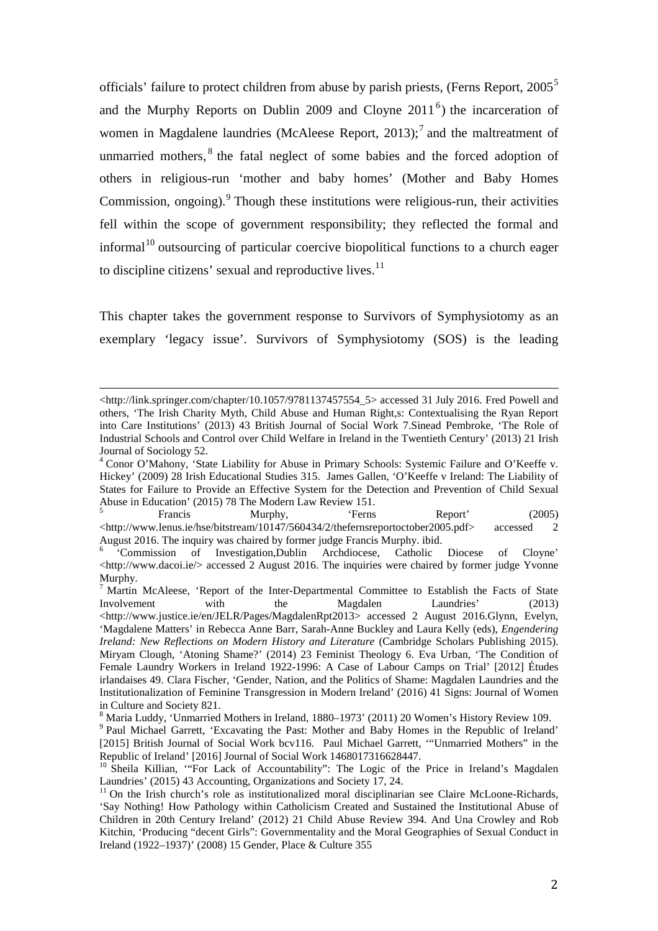officials' failure to protect children from abuse by parish priests, (Ferns Report, 200[5](#page-2-0)<sup>5</sup>) and the Murphy Reports on Dublin 2009 and Cloyne  $2011<sup>6</sup>$  $2011<sup>6</sup>$  $2011<sup>6</sup>$ ) the incarceration of women in Magdalene laundries (McAleese Report,  $2013$ );<sup>[7](#page-2-2)</sup> and the maltreatment of unmarried mothers,<sup>[8](#page-2-3)</sup> the fatal neglect of some babies and the forced adoption of others in religious-run 'mother and baby homes' (Mother and Baby Homes Commission, ongoing). $9$  Though these institutions were religious-run, their activities fell within the scope of government responsibility; they reflected the formal and informal<sup>[10](#page-2-5)</sup> outsourcing of particular coercive biopolitical functions to a church eager to discipline citizens' sexual and reproductive lives. $11$ 

This chapter takes the government response to Survivors of Symphysiotomy as an exemplary 'legacy issue'. Survivors of Symphysiotomy (SOS) is the leading

<span id="page-2-0"></span><http://www.lenus.ie/hse/bitstream/10147/560434/2/thefernsreportoctober2005.pdf> accessed 2

http://link.springer.com/chapter/10.1057/9781137457554\_5> accessed 31 July 2016. Fred Powell and others, 'The Irish Charity Myth, Child Abuse and Human Right,s: Contextualising the Ryan Report into Care Institutions' (2013) 43 British Journal of Social Work 7.Sinead Pembroke, 'The Role of Industrial Schools and Control over Child Welfare in Ireland in the Twentieth Century' (2013) 21 Irish Journal of Sociology 52. I

<sup>&</sup>lt;sup>4</sup> Conor O'Mahony, 'State Liability for Abuse in Primary Schools: Systemic Failure and O'Keeffe v. Hickey' (2009) 28 Irish Educational Studies 315. James Gallen, 'O'Keeffe v Ireland: The Liability of States for Failure to Provide an Effective System for the Detection and Prevention of Child Sexual Abuse in Education' (2015) 78 The Modern Law Review 151.<br>
Francis Murphy, 'Ferns Report' (2005)

<span id="page-2-1"></span>August 2016. The inquiry was chaired by former judge Francis Murphy. ibid. <sup>6</sup> 'Commission of Investigation,Dublin Archdiocese, Catholic Diocese of Cloyne'  $\lt$ http://www.dacoi.ie/ $>$  accessed 2 August 2016. The inquiries were chaired by former judge Yvonne Murphy.

<span id="page-2-2"></span><sup>&</sup>lt;sup>7</sup> Martin McAleese, 'Report of the Inter-Departmental Committee to Establish the Facts of State Involvement with the Magdalen Laundries' (2013) <http://www.justice.ie/en/JELR/Pages/MagdalenRpt2013> accessed 2 August 2016.Glynn, Evelyn, 'Magdalene Matters' in Rebecca Anne Barr, Sarah-Anne Buckley and Laura Kelly (eds), *Engendering Ireland: New Reflections on Modern History and Literature* (Cambridge Scholars Publishing 2015). Miryam Clough, 'Atoning Shame?' (2014) 23 Feminist Theology 6. Eva Urban, 'The Condition of Female Laundry Workers in Ireland 1922-1996: A Case of Labour Camps on Trial' [2012] Études irlandaises 49. Clara Fischer, 'Gender, Nation, and the Politics of Shame: Magdalen Laundries and the Institutionalization of Feminine Transgression in Modern Ireland' (2016) 41 Signs: Journal of Women in Culture and Society 821.<br><sup>8</sup> Maria Luddy, 'Unmarried Mothers in Ireland, 1880–1973' (2011) 20 Women's History Review 109.

<span id="page-2-3"></span>

<span id="page-2-4"></span><sup>&</sup>lt;sup>9</sup> Paul Michael Garrett, 'Excavating the Past: Mother and Baby Homes in the Republic of Ireland' [2015] British Journal of Social Work bcv116.Paul Michael Garrett, '"Unmarried Mothers" in the Republic of Ireland' [2016] Journal of Social Work 1468017316628447.

<span id="page-2-5"></span><sup>&</sup>lt;sup>10</sup> Sheila Killian, "For Lack of Accountability": The Logic of the Price in Ireland's Magdalen Laundries' (2015) 43 Accounting, Organizations and Society 17, 24.

<span id="page-2-6"></span> $11$  On the Irish church's role as institutionalized moral disciplinarian see Claire McLoone-Richards, 'Say Nothing! How Pathology within Catholicism Created and Sustained the Institutional Abuse of Children in 20th Century Ireland' (2012) 21 Child Abuse Review 394. And Una Crowley and Rob Kitchin, 'Producing "decent Girls": Governmentality and the Moral Geographies of Sexual Conduct in Ireland (1922–1937)' (2008) 15 Gender, Place & Culture 355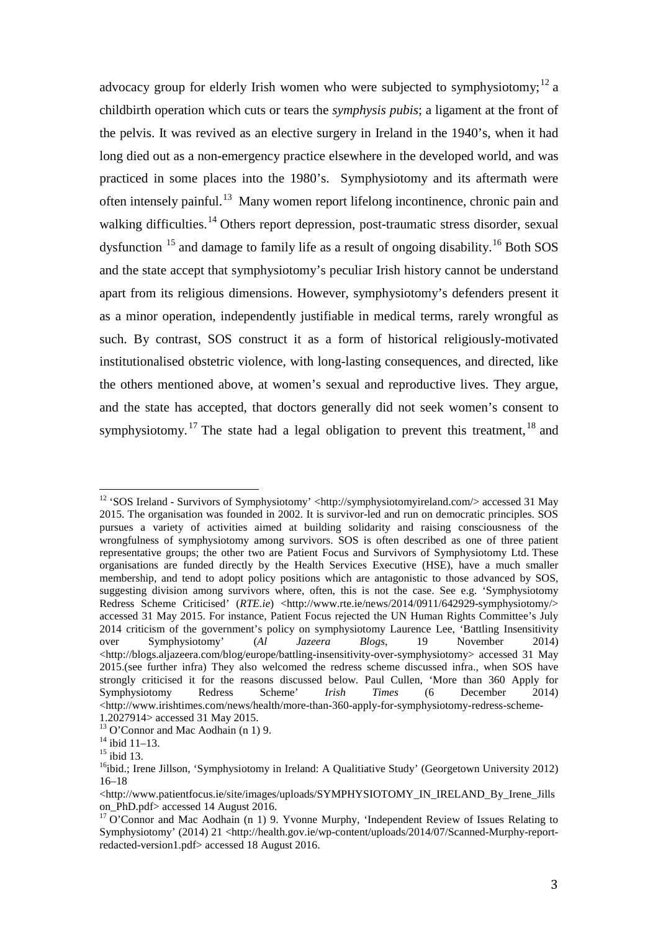advocacy group for elderly Irish women who were subjected to symphysiotomy;<sup>[12](#page-3-0)</sup> a childbirth operation which cuts or tears the *symphysis pubis*; a ligament at the front of the pelvis. It was revived as an elective surgery in Ireland in the 1940's, when it had long died out as a non-emergency practice elsewhere in the developed world, and was practiced in some places into the 1980's. Symphysiotomy and its aftermath were often intensely painful.<sup>[13](#page-3-1)</sup> Many women report lifelong incontinence, chronic pain and walking difficulties.<sup>[14](#page-3-2)</sup> Others report depression, post-traumatic stress disorder, sexual dysfunction <sup>[15](#page-3-3)</sup> and damage to family life as a result of ongoing disability.<sup>[16](#page-3-4)</sup> Both SOS and the state accept that symphysiotomy's peculiar Irish history cannot be understand apart from its religious dimensions. However, symphysiotomy's defenders present it as a minor operation, independently justifiable in medical terms, rarely wrongful as such. By contrast, SOS construct it as a form of historical religiously-motivated institutionalised obstetric violence, with long-lasting consequences, and directed, like the others mentioned above, at women's sexual and reproductive lives. They argue, and the state has accepted, that doctors generally did not seek women's consent to symphysiotomy.<sup>[17](#page-3-5)</sup> The state had a legal obligation to prevent this treatment,<sup>[18](#page-3-3)</sup> and

<span id="page-3-0"></span><sup>&</sup>lt;sup>12</sup> 'SOS Ireland - Survivors of Symphysiotomy' <http://symphysiotomyireland.com/> accessed 31 May 2015. The organisation was founded in 2002. It is survivor-led and run on democratic principles. SOS pursues a variety of activities aimed at building solidarity and raising consciousness of the wrongfulness of symphysiotomy among survivors. SOS is often described as one of three patient representative groups; the other two are Patient Focus and Survivors of Symphysiotomy Ltd. These organisations are funded directly by the Health Services Executive (HSE), have a much smaller membership, and tend to adopt policy positions which are antagonistic to those advanced by SOS, suggesting division among survivors where, often, this is not the case. See e.g. 'Symphysiotomy Redress Scheme Criticised' (*RTE.ie*) <http://www.rte.ie/news/2014/0911/642929-symphysiotomy/> accessed 31 May 2015. For instance, Patient Focus rejected the UN Human Rights Committee's July 2014 criticism of the government's policy on symphysiotomy Laurence Lee, 'Battling Insensitivity over Symphysiotomy' (*Al Jazeera Blogs*, 19 November 2014) <http://blogs.aljazeera.com/blog/europe/battling-insensitivity-over-symphysiotomy> accessed 31 May 2015.(see further infra) They also welcomed the redress scheme discussed infra., when SOS have strongly criticised it for the reasons discussed below. Paul Cullen, 'More than 360 Apply for Symphysiotomy Redress Scheme' *Irish Times* (6 December 2014) <http://www.irishtimes.com/news/health/more-than-360-apply-for-symphysiotomy-redress-scheme- $\overline{1}$ 

<span id="page-3-2"></span>

<span id="page-3-4"></span><span id="page-3-3"></span>

<span id="page-3-1"></span><sup>1.2027914&</sup>gt; accessed 31 May 2015.<br><sup>13</sup> O'Connor and Mac Aodhain (n 1) 9.<br><sup>14</sup> ibid 11–13.<br><sup>15</sup>ibid.; Irene Jillson, 'Symphysiotomy in Ireland: A Qualitiative Study' (Georgetown University 2012) 16–18

 $\langle$ http://www.patientfocus.ie/site/images/uploads/SYMPHYSIOTOMY\_IN\_IRELAND\_By\_Irene\_Jills on\_PhD.pdf> accessed 14 August 2016.

<span id="page-3-5"></span> $17$  O'Connor and Mac Aodhain (n 1) 9. Yvonne Murphy, 'Independent Review of Issues Relating to Symphysiotomy' (2014) 21 <http://health.gov.ie/wp-content/uploads/2014/07/Scanned-Murphy-reportredacted-version1.pdf> accessed 18 August 2016.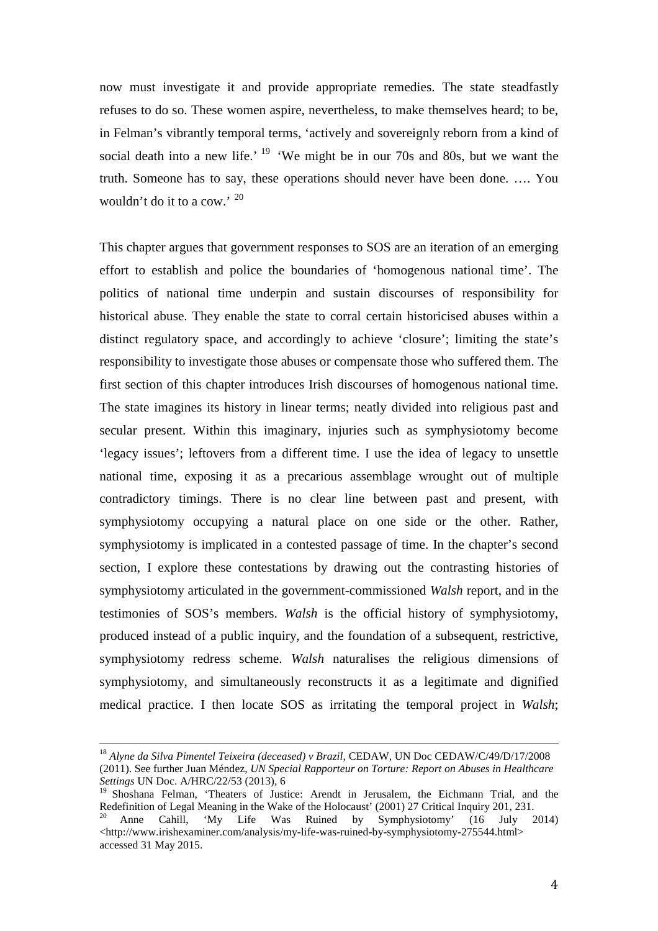now must investigate it and provide appropriate remedies. The state steadfastly refuses to do so. These women aspire, nevertheless, to make themselves heard; to be, in Felman's vibrantly temporal terms, 'actively and sovereignly reborn from a kind of social death into a new life.<sup> $19$ </sup> 'We might be in our 70s and 80s, but we want the truth. Someone has to say, these operations should never have been done. …. You wouldn't do it to a cow.' [20](#page-4-1)

This chapter argues that government responses to SOS are an iteration of an emerging effort to establish and police the boundaries of 'homogenous national time'. The politics of national time underpin and sustain discourses of responsibility for historical abuse. They enable the state to corral certain historicised abuses within a distinct regulatory space, and accordingly to achieve 'closure'; limiting the state's responsibility to investigate those abuses or compensate those who suffered them. The first section of this chapter introduces Irish discourses of homogenous national time. The state imagines its history in linear terms; neatly divided into religious past and secular present. Within this imaginary, injuries such as symphysiotomy become 'legacy issues'; leftovers from a different time. I use the idea of legacy to unsettle national time, exposing it as a precarious assemblage wrought out of multiple contradictory timings. There is no clear line between past and present, with symphysiotomy occupying a natural place on one side or the other. Rather, symphysiotomy is implicated in a contested passage of time. In the chapter's second section, I explore these contestations by drawing out the contrasting histories of symphysiotomy articulated in the government-commissioned *Walsh* report, and in the testimonies of SOS's members. *Walsh* is the official history of symphysiotomy, produced instead of a public inquiry, and the foundation of a subsequent, restrictive, symphysiotomy redress scheme. *Walsh* naturalises the religious dimensions of symphysiotomy, and simultaneously reconstructs it as a legitimate and dignified medical practice. I then locate SOS as irritating the temporal project in *Walsh*;

<sup>18</sup> *Alyne da Silva Pimentel Teixeira (deceased) v Brazil*, CEDAW, UN Doc CEDAW/C/49/D/17/2008 (2011). See further Juan Méndez, *UN Special Rapporteur on Torture: Report on Abuses in Healthcare Settings* UN Doc. A/HRC/22/53 (2013), 6  $\overline{1}$ 

<span id="page-4-1"></span><span id="page-4-0"></span><sup>&</sup>lt;sup>19</sup> Shoshana Felman, 'Theaters of Justice: Arendt in Jerusalem, the Eichmann Trial, and the Redefinition of Legal Meaning in the Wake of the Holocaust' (2001) 27 Critical Inquiry 201, 231. <sup>20</sup> Anne Cahill, 'My Life Was Ruined by Symphysiotomy' (16 July 2014) <http://www.irishexaminer.com/analysis/my-life-was-ruined-by-symphysiotomy-275544.html> accessed 31 May 2015.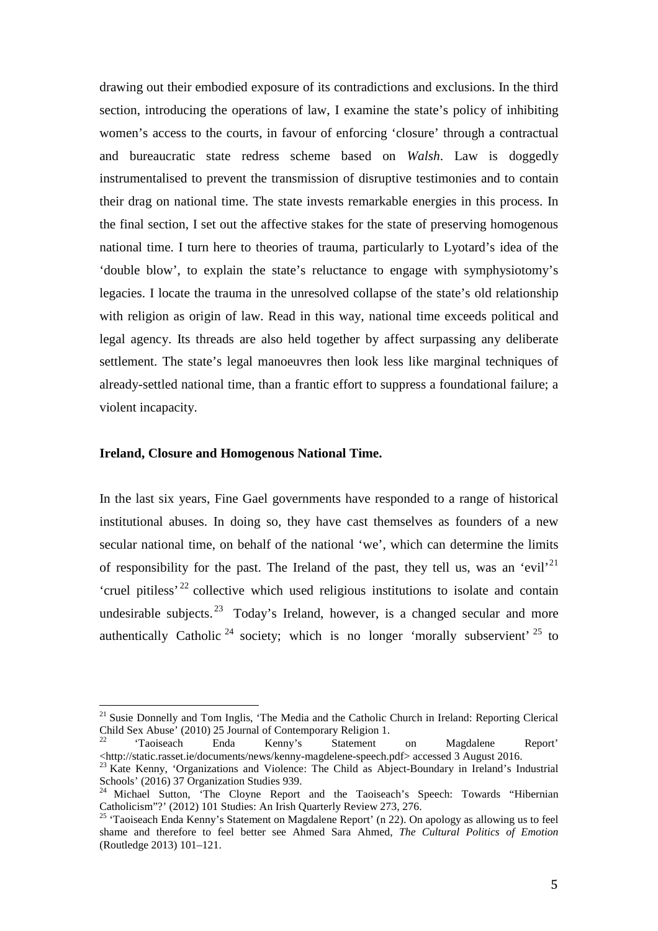drawing out their embodied exposure of its contradictions and exclusions. In the third section, introducing the operations of law, I examine the state's policy of inhibiting women's access to the courts, in favour of enforcing 'closure' through a contractual and bureaucratic state redress scheme based on *Walsh*. Law is doggedly instrumentalised to prevent the transmission of disruptive testimonies and to contain their drag on national time. The state invests remarkable energies in this process. In the final section, I set out the affective stakes for the state of preserving homogenous national time. I turn here to theories of trauma, particularly to Lyotard's idea of the 'double blow', to explain the state's reluctance to engage with symphysiotomy's legacies. I locate the trauma in the unresolved collapse of the state's old relationship with religion as origin of law. Read in this way, national time exceeds political and legal agency. Its threads are also held together by affect surpassing any deliberate settlement. The state's legal manoeuvres then look less like marginal techniques of already-settled national time, than a frantic effort to suppress a foundational failure; a violent incapacity.

### **Ireland, Closure and Homogenous National Time.**

In the last six years, Fine Gael governments have responded to a range of historical institutional abuses. In doing so, they have cast themselves as founders of a new secular national time, on behalf of the national 'we', which can determine the limits of responsibility for the past. The Ireland of the past, they tell us, was an 'evil'<sup>21</sup> 'cruel pitiless<sup>' [22](#page-5-1)</sup> collective which used religious institutions to isolate and contain undesirable subjects. <sup>[23](#page-5-2)</sup> Today's Ireland, however, is a changed secular and more authentically Catholic  $24$  society; which is no longer 'morally subservient'  $25$  to

<span id="page-5-0"></span><sup>&</sup>lt;sup>21</sup> Susie Donnelly and Tom Inglis, 'The Media and the Catholic Church in Ireland: Reporting Clerical Child Sex Abuse' (2010) 25 Journal of Contemporary Religion 1.  $\overline{1}$ 

<span id="page-5-1"></span> $22$  'Taoiseach Enda Kenny's Statement on Magdalene Report' <http://static.rasset.ie/documents/news/kenny-magdelene-speech.pdf> accessed 3 August 2016. <sup>23</sup> Kate Kenny, 'Organizations and Violence: The Child as Abject-Boundary in Ireland's Industrial

<span id="page-5-2"></span>Schools' (2016) 37 Organization Studies 939.

<span id="page-5-3"></span><sup>&</sup>lt;sup>24</sup> Michael Sutton, 'The Cloyne Report and the Taoiseach's Speech: Towards "Hibernian Catholicism"?' (2012) 101 Studies: An Irish Quarterly Review 273, 276. <sup>25</sup> 'Taoiseach Enda Kenny's Statement on Magdalene Report' (n 22). On apology as allowing us to feel

<span id="page-5-4"></span>shame and therefore to feel better see Ahmed Sara Ahmed, *The Cultural Politics of Emotion* (Routledge 2013) 101–121.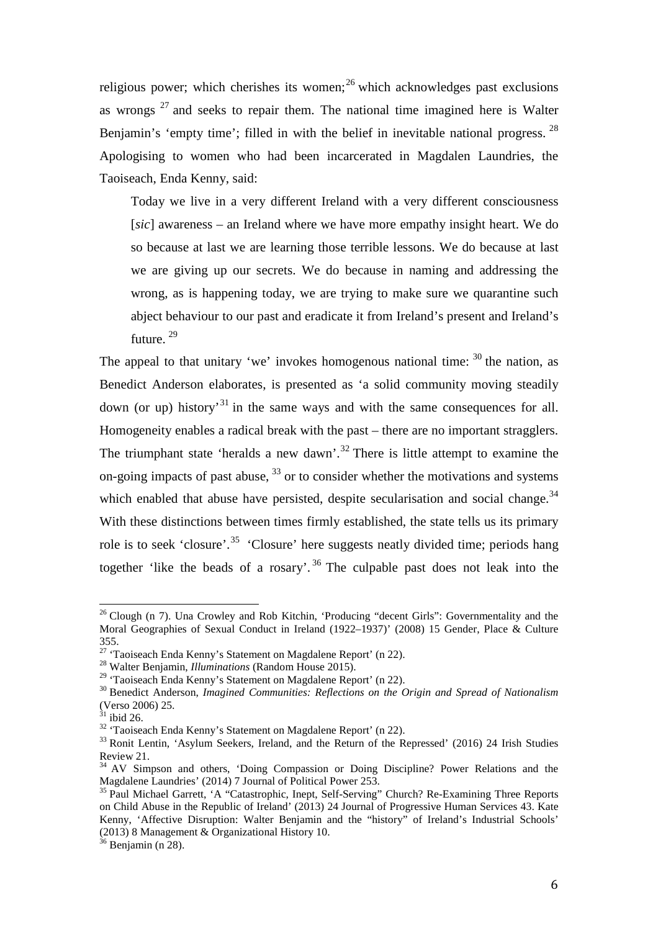religious power; which cherishes its women; $^{26}$  $^{26}$  $^{26}$  which acknowledges past exclusions as wrongs  $27$  and seeks to repair them. The national time imagined here is Walter Benjamin's 'empty time'; filled in with the belief in inevitable national progress.  $^{28}$  $^{28}$  $^{28}$ Apologising to women who had been incarcerated in Magdalen Laundries, the Taoiseach, Enda Kenny, said:

Today we live in a very different Ireland with a very different consciousness [*sic*] awareness – an Ireland where we have more empathy insight heart. We do so because at last we are learning those terrible lessons. We do because at last we are giving up our secrets. We do because in naming and addressing the wrong, as is happening today, we are trying to make sure we quarantine such abject behaviour to our past and eradicate it from Ireland's present and Ireland's future. [29](#page-6-3)

The appeal to that unitary 'we' invokes homogenous national time:  $30$  the nation, as Benedict Anderson elaborates, is presented as 'a solid community moving steadily down (or up) history<sup>[31](#page-6-5)</sup> in the same ways and with the same consequences for all. Homogeneity enables a radical break with the past – there are no important stragglers. The triumphant state 'heralds a new dawn'. $32$  There is little attempt to examine the on-going impacts of past abuse,  $33$  or to consider whether the motivations and systems which enabled that abuse have persisted, despite secularisation and social change.<sup>[34](#page-6-8)</sup> With these distinctions between times firmly established, the state tells us its primary role is to seek 'closure'.<sup>[35](#page-6-9)</sup> 'Closure' here suggests neatly divided time; periods hang together 'like the beads of a rosary'. [36](#page-6-10) The culpable past does not leak into the

<span id="page-6-0"></span><sup>&</sup>lt;sup>26</sup> Clough (n 7). Una Crowley and Rob Kitchin, 'Producing "decent Girls": Governmentality and the Moral Geographies of Sexual Conduct in Ireland (1922–1937)' (2008) 15 Gender, Place & Culture 355.  $\overline{1}$ 

<span id="page-6-2"></span><span id="page-6-1"></span><sup>&</sup>lt;sup>27</sup> 'Taoiseach Enda Kenny's Statement on Magdalene Report' (n 22).<br><sup>28</sup> Walter Benjamin, *Illuminations* (Random House 2015).<br><sup>29</sup> 'Taoiseach Enda Kenny's Statement on Magdalene Report' (n 22).

<span id="page-6-4"></span><span id="page-6-3"></span><sup>&</sup>lt;sup>30</sup> Benedict Anderson, *Imagined Communities: Reflections on the Origin and Spread of Nationalism* (Verso 2006) 25.<br> $31$  ibid 26.

<span id="page-6-7"></span><span id="page-6-6"></span><span id="page-6-5"></span><sup>&</sup>lt;sup>32</sup> 'Taoiseach Enda Kenny's Statement on Magdalene Report' (n 22).<br><sup>33</sup> Ronit Lentin, 'Asylum Seekers, Ireland, and the Return of the Repressed' (2016) 24 Irish Studies Review 21.

<span id="page-6-8"></span><sup>&</sup>lt;sup>34</sup> AV Simpson and others, 'Doing Compassion or Doing Discipline? Power Relations and the Magdalene Laundries' (2014) 7 Journal of Political Power 253.

<span id="page-6-9"></span><sup>&</sup>lt;sup>35</sup> Paul Michael Garrett, 'A "Catastrophic, Inept, Self-Serving" Church? Re-Examining Three Reports on Child Abuse in the Republic of Ireland' (2013) 24 Journal of Progressive Human Services 43. Kate Kenny, 'Affective Disruption: Walter Benjamin and the "history" of Ireland's Industrial Schools' (2013) 8 Management & Organizational History 10.

<span id="page-6-10"></span> $36$  Benjamin (n 28).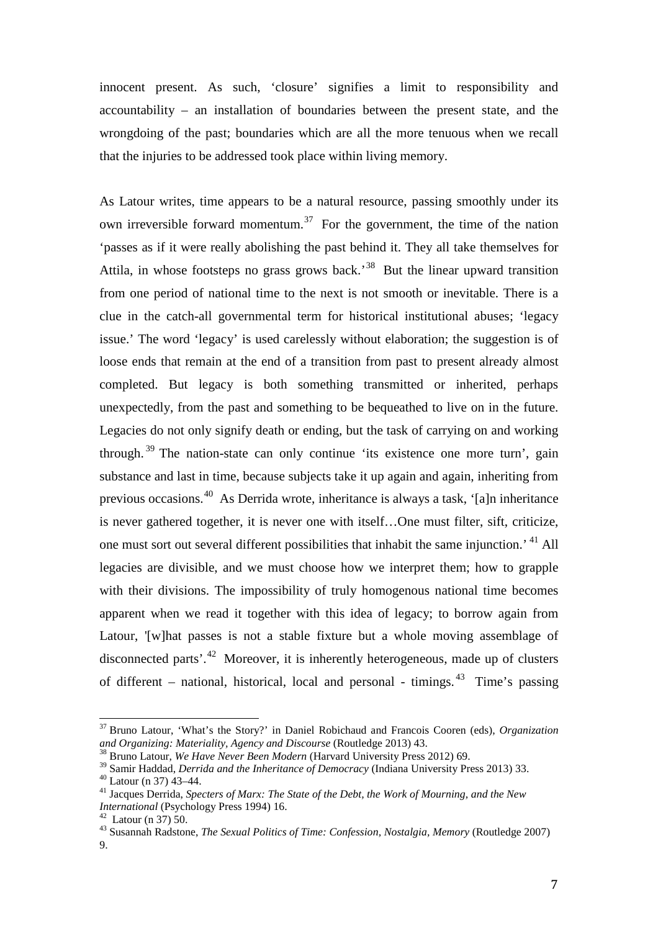innocent present. As such, 'closure' signifies a limit to responsibility and accountability – an installation of boundaries between the present state, and the wrongdoing of the past; boundaries which are all the more tenuous when we recall that the injuries to be addressed took place within living memory.

As Latour writes, time appears to be a natural resource, passing smoothly under its own irreversible forward momentum.<sup>[37](#page-7-0)</sup> For the government, the time of the nation 'passes as if it were really abolishing the past behind it. They all take themselves for Attila, in whose footsteps no grass grows back.<sup>[38](#page-7-1)</sup> But the linear upward transition from one period of national time to the next is not smooth or inevitable. There is a clue in the catch-all governmental term for historical institutional abuses; 'legacy issue.' The word 'legacy' is used carelessly without elaboration; the suggestion is of loose ends that remain at the end of a transition from past to present already almost completed. But legacy is both something transmitted or inherited, perhaps unexpectedly, from the past and something to be bequeathed to live on in the future. Legacies do not only signify death or ending, but the task of carrying on and working through.<sup>[39](#page-7-2)</sup> The nation-state can only continue 'its existence one more turn', gain substance and last in time, because subjects take it up again and again, inheriting from previous occasions.[40](#page-7-3) As Derrida wrote, inheritance is always a task, '[a]n inheritance is never gathered together, it is never one with itself…One must filter, sift, criticize, one must sort out several different possibilities that inhabit the same injunction.' [41](#page-7-4) All legacies are divisible, and we must choose how we interpret them; how to grapple with their divisions. The impossibility of truly homogenous national time becomes apparent when we read it together with this idea of legacy; to borrow again from Latour, '[w]hat passes is not a stable fixture but a whole moving assemblage of disconnected parts'.[42](#page-7-5) Moreover, it is inherently heterogeneous, made up of clusters of different – national, historical, local and personal - timings. [43](#page-7-6) Time's passing

<span id="page-7-0"></span><sup>37</sup> Bruno Latour, 'What's the Story?' in Daniel Robichaud and Francois Cooren (eds), *Organization*  and Organizing: Materiality, Agency and Discourse (Routledge 2013) 43.<br><sup>38</sup> Bruno Latour, *We Have Never Been Modern* (Harvard University Press 2012) 69.<br><sup>39</sup> Samir Haddad, *Derrida and the Inheritance of Democracy* (India  $\frac{1}{2}$ 

<span id="page-7-1"></span>

<span id="page-7-4"></span><span id="page-7-3"></span><span id="page-7-2"></span><sup>&</sup>lt;sup>40</sup> Latour (n 37) 43–44.<br><sup>41</sup> Jacques Derrida, *Specters of Marx: The State of the Debt, the Work of Mourning, and the New International (Psychology Press 1994) 16.* 

<span id="page-7-6"></span><span id="page-7-5"></span><sup>&</sup>lt;sup>42</sup> Latour (n 37) 50.<br><sup>43</sup> Susannah Radstone, *The Sexual Politics of Time: Confession, Nostalgia, Memory* (Routledge 2007) 9.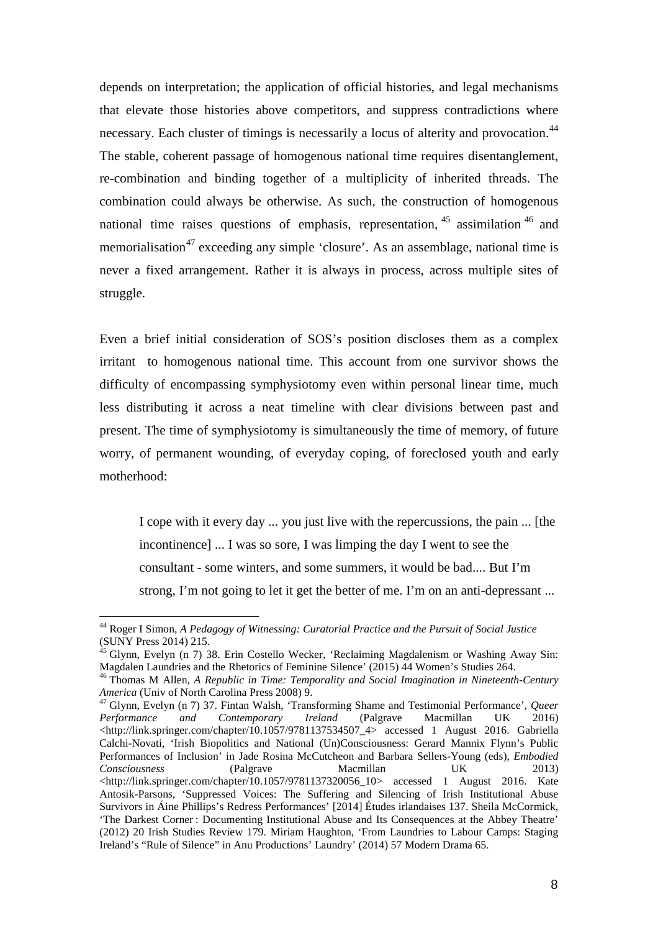depends on interpretation; the application of official histories, and legal mechanisms that elevate those histories above competitors, and suppress contradictions where necessary. Each cluster of timings is necessarily a locus of alterity and provocation.<sup>[44](#page-8-0)</sup> The stable, coherent passage of homogenous national time requires disentanglement, re-combination and binding together of a multiplicity of inherited threads. The combination could always be otherwise. As such, the construction of homogenous national time raises questions of emphasis, representation,  $45$  assimilation  $46$  and memorialisation<sup>[47](#page-8-3)</sup> exceeding any simple 'closure'. As an assemblage, national time is never a fixed arrangement. Rather it is always in process, across multiple sites of struggle.

Even a brief initial consideration of SOS's position discloses them as a complex irritant to homogenous national time. This account from one survivor shows the difficulty of encompassing symphysiotomy even within personal linear time, much less distributing it across a neat timeline with clear divisions between past and present. The time of symphysiotomy is simultaneously the time of memory, of future worry, of permanent wounding, of everyday coping, of foreclosed youth and early motherhood:

I cope with it every day ... you just live with the repercussions, the pain ... [the incontinence] ... I was so sore, I was limping the day I went to see the consultant - some winters, and some summers, it would be bad.... But I'm strong, I'm not going to let it get the better of me. I'm on an anti-depressant ...

<span id="page-8-0"></span><sup>44</sup> Roger I Simon, *A Pedagogy of Witnessing: Curatorial Practice and the Pursuit of Social Justice* (SUNY Press 2014) 215.  $\overline{1}$ 

<span id="page-8-1"></span><sup>&</sup>lt;sup>45</sup> Glynn, Evelyn (n 7) 38. Erin Costello Wecker, 'Reclaiming Magdalenism or Washing Away Sin: Magdalen Laundries and the Rhetorics of Feminine Silence' (2015) 44 Women's Studies 264.

<span id="page-8-2"></span><sup>46</sup> Thomas M Allen, *A Republic in Time: Temporality and Social Imagination in Nineteenth-Century America* (Univ of North Carolina Press 2008) 9. <sup>47</sup> Glynn, Evelyn (n 7) 37. Fintan Walsh, 'Transforming Shame and Testimonial Performance', *Queer* 

<span id="page-8-3"></span>*Performance and Contemporary Ireland* (Palgrave Macmillan UK 2016) <http://link.springer.com/chapter/10.1057/9781137534507\_4> accessed 1 August 2016. Gabriella Calchi-Novati, 'Irish Biopolitics and National (Un)Consciousness: Gerard Mannix Flynn's Public Performances of Inclusion' in Jade Rosina McCutcheon and Barbara Sellers-Young (eds), *Embodied Consciousness* (Palgrave Macmillan UK 2013) <http://link.springer.com/chapter/10.1057/9781137320056\_10> accessed 1 August 2016. Kate Antosik-Parsons, 'Suppressed Voices: The Suffering and Silencing of Irish Institutional Abuse Survivors in Áine Phillips's Redress Performances' [2014] Études irlandaises 137. Sheila McCormick, 'The Darkest Corner : Documenting Institutional Abuse and Its Consequences at the Abbey Theatre' (2012) 20 Irish Studies Review 179. Miriam Haughton, 'From Laundries to Labour Camps: Staging Ireland's "Rule of Silence" in Anu Productions' Laundry' (2014) 57 Modern Drama 65.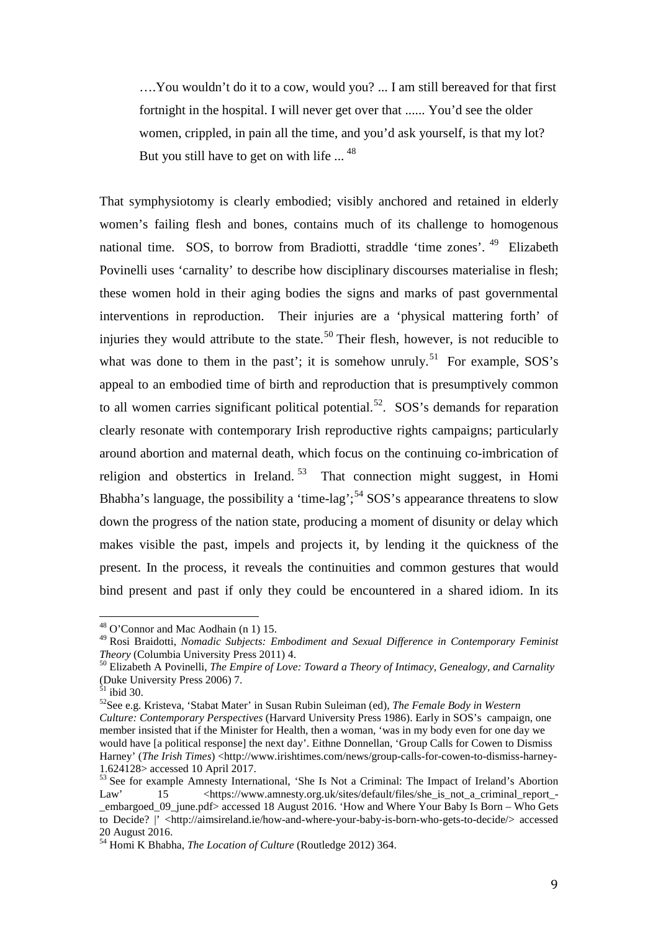….You wouldn't do it to a cow, would you? ... I am still bereaved for that first fortnight in the hospital. I will never get over that ...... You'd see the older women, crippled, in pain all the time, and you'd ask yourself, is that my lot? But you still have to get on with life ...<sup>[48](#page-9-0)</sup>

That symphysiotomy is clearly embodied; visibly anchored and retained in elderly women's failing flesh and bones, contains much of its challenge to homogenous national time. SOS, to borrow from Bradiotti, straddle 'time zones'. <sup>[49](#page-9-1)</sup> Elizabeth Povinelli uses 'carnality' to describe how disciplinary discourses materialise in flesh; these women hold in their aging bodies the signs and marks of past governmental interventions in reproduction. Their injuries are a 'physical mattering forth' of injuries they would attribute to the state.<sup>[50](#page-9-2)</sup> Their flesh, however, is not reducible to what was done to them in the past'; it is somehow unruly.<sup>[51](#page-9-3)</sup> For example, SOS's appeal to an embodied time of birth and reproduction that is presumptively common to all women carries significant political potential.<sup>[52](#page-9-4)</sup>. SOS's demands for reparation clearly resonate with contemporary Irish reproductive rights campaigns; particularly around abortion and maternal death, which focus on the continuing co-imbrication of religion and obstertics in Ireland.<sup>[53](#page-9-5)</sup> That connection might suggest, in Homi Bhabha's language, the possibility a 'time-lag';<sup>[54](#page-9-6)</sup> SOS's appearance threatens to slow down the progress of the nation state, producing a moment of disunity or delay which makes visible the past, impels and projects it, by lending it the quickness of the present. In the process, it reveals the continuities and common gestures that would bind present and past if only they could be encountered in a shared idiom. In its

 $48$  O'Connor and Mac Aodhain (n 1) 15.  $\overline{1}$ 

<span id="page-9-1"></span><span id="page-9-0"></span><sup>49</sup> Rosi Braidotti, *Nomadic Subjects: Embodiment and Sexual Difference in Contemporary Feminist Theory* (Columbia University Press 2011) 4.<br><sup>50</sup> Elizabeth A Povinelli, *The Empire of Love: Toward a Theory of Intimacy, Genealogy, and Carnality* 

<span id="page-9-2"></span><sup>(</sup>Duke University Press 2006) 7.<br><sup>51</sup> ibid 30.

<span id="page-9-4"></span><span id="page-9-3"></span><sup>&</sup>lt;sup>52</sup> See e.g. Kristeva, 'Stabat Mater' in Susan Rubin Suleiman (ed), *The Female Body in Western Culture: Contemporary Perspectives* (Harvard University Press 1986). Early in SOS's campaign, one member insisted that if the Minister for Health, then a woman, 'was in my body even for one day we would have [a political response] the next day'. Eithne Donnellan, 'Group Calls for Cowen to Dismiss Harney' (*The Irish Times*) <http://www.irishtimes.com/news/group-calls-for-cowen-to-dismiss-harney-1.624128> accessed 10 April 2017.

<span id="page-9-5"></span><sup>&</sup>lt;sup>53</sup> See for example Amnesty International, 'She Is Not a Criminal: The Impact of Ireland's Abortion Law' 15 <https://www.amnesty.org.uk/sites/default/files/she is not a criminal report -Law' 15 <https://www.amnesty.org.uk/sites/default/files/she\_is\_not\_a\_criminal\_report\_- \_embargoed\_09\_june.pdf> accessed 18 August 2016. 'How and Where Your Baby Is Born – Who Gets to Decide? |' <http://aimsireland.ie/how-and-where-your-baby-is-born-who-gets-to-decide/> accessed 20 August 2016.

<span id="page-9-6"></span><sup>54</sup> Homi K Bhabha, *The Location of Culture* (Routledge 2012) 364.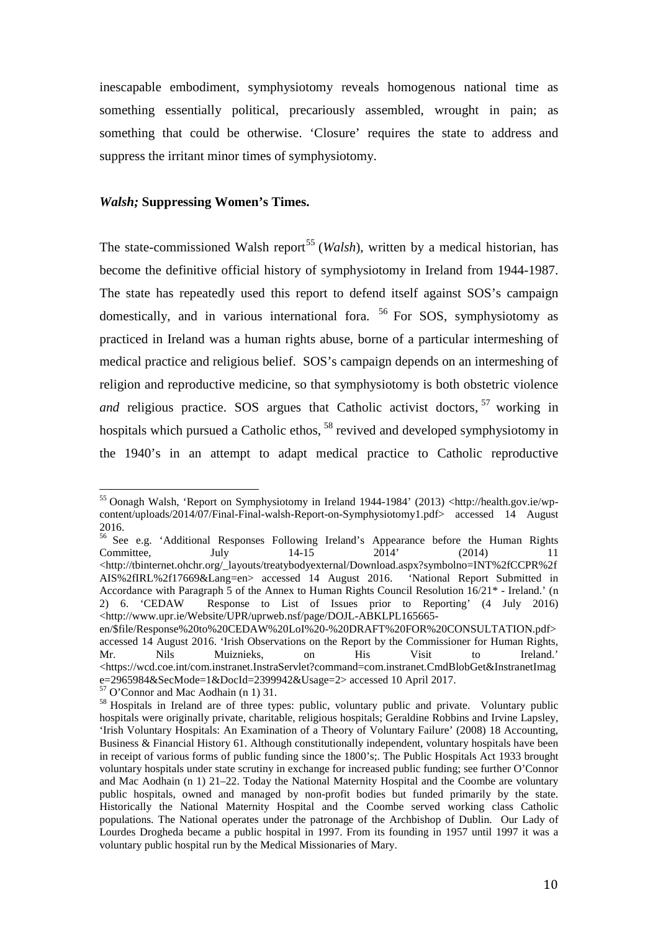inescapable embodiment, symphysiotomy reveals homogenous national time as something essentially political, precariously assembled, wrought in pain; as something that could be otherwise. 'Closure' requires the state to address and suppress the irritant minor times of symphysiotomy.

### *Walsh;* **Suppressing Women's Times.**

The state-commissioned Walsh report<sup>[55](#page-10-0)</sup> (*Walsh*), written by a medical historian, has become the definitive official history of symphysiotomy in Ireland from 1944-1987. The state has repeatedly used this report to defend itself against SOS's campaign domestically, and in various international fora.  $56$  For SOS, symphysiotomy as practiced in Ireland was a human rights abuse, borne of a particular intermeshing of medical practice and religious belief. SOS's campaign depends on an intermeshing of religion and reproductive medicine, so that symphysiotomy is both obstetric violence and religious practice. SOS argues that Catholic activist doctors, <sup>[57](#page-10-2)</sup> working in hospitals which pursued a Catholic ethos, <sup>[58](#page-10-3)</sup> revived and developed symphysiotomy in the 1940's in an attempt to adapt medical practice to Catholic reproductive

<span id="page-10-0"></span><sup>&</sup>lt;sup>55</sup> Oonagh Walsh, 'Report on Symphysiotomy in Ireland 1944-1984' (2013) <http://health.gov.ie/wpcontent/uploads/2014/07/Final-Final-walsh-Report-on-Symphysiotomy1.pdf> accessed 14 August 2016.  $\overline{a}$ 

<span id="page-10-1"></span><sup>&</sup>lt;sup>56</sup> See e.g. 'Additional Responses Following Ireland's Appearance before the Human Rights Committee. July 14-15 2014' (2014) 11 Committee, July 14-15 2014' (2014) 11  $\langle$ http://tbinternet.ohchr.org/\_layouts/treatybodyexternal/Download.aspx?symbolno=INT%2fCCPR%2f<br>AIS%2fIRL%2f17669&Lang=en> accessed 14 August 2016. 'National Report Submitted in  $AIS\%2fIRL\%2f17669\⟪=en$  accessed 14 August 2016. Accordance with Paragraph 5 of the Annex to Human Rights Council Resolution 16/21\* - Ireland.' (n 2) 6. 'CEDAW Response to List of Issues prior to Reporting' (4 July 2016) <http://www.upr.ie/Website/UPR/uprweb.nsf/page/DOJL-ABKLPL165665-

en/\$file/Response%20to%20CEDAW%20LoI%20-%20DRAFT%20FOR%20CONSULTATION.pdf> accessed 14 August 2016. 'Irish Observations on the Report by the Commissioner for Human Rights, Mr. Nils Muiznieks, on His Visit to Ireland.' <https://wcd.coe.int/com.instranet.InstraServlet?command=com.instranet.CmdBlobGet&InstranetImag e=2965984&SecMode=1&DocId=2399942&Usage=2> accessed 10 April 2017.<br><sup>57</sup> O'Connor and Mac Aodhain (n 1) 31.

<span id="page-10-2"></span>

<span id="page-10-3"></span><sup>&</sup>lt;sup>58</sup> Hospitals in Ireland are of three types: public, voluntary public and private. Voluntary public hospitals were originally private, charitable, religious hospitals; Geraldine Robbins and Irvine Lapsley, 'Irish Voluntary Hospitals: An Examination of a Theory of Voluntary Failure' (2008) 18 Accounting, Business & Financial History 61. Although constitutionally independent, voluntary hospitals have been in receipt of various forms of public funding since the 1800's;. The Public Hospitals Act 1933 brought voluntary hospitals under state scrutiny in exchange for increased public funding; see further O'Connor and Mac Aodhain (n 1) 21–22. Today the National Maternity Hospital and the Coombe are voluntary public hospitals, owned and managed by non-profit bodies but funded primarily by the state. Historically the National Maternity Hospital and the Coombe served working class Catholic populations. The National operates under the patronage of the Archbishop of Dublin. Our Lady of Lourdes Drogheda became a public hospital in 1997. From its founding in 1957 until 1997 it was a voluntary public hospital run by the Medical Missionaries of Mary.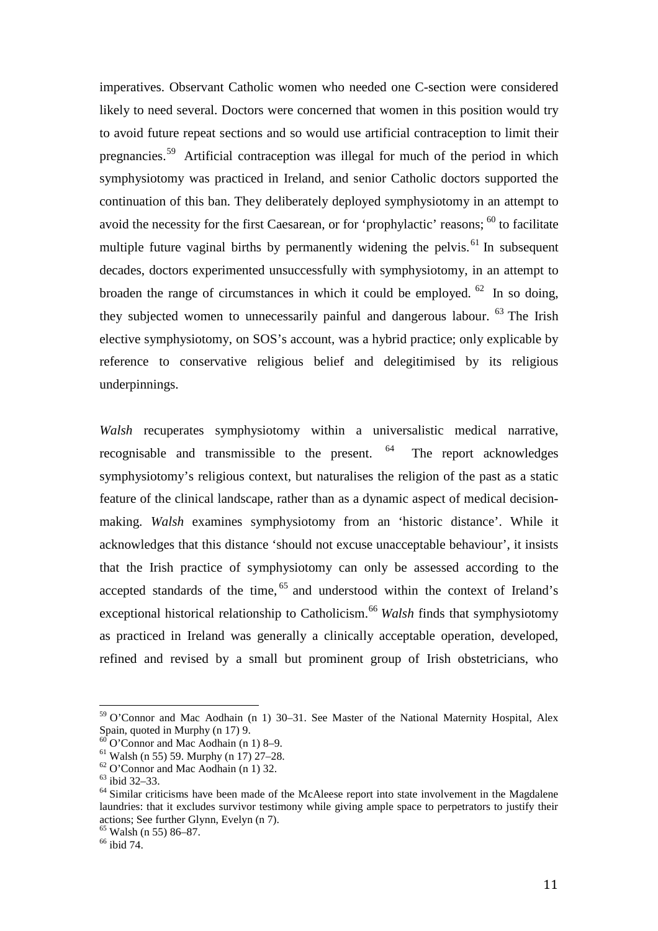imperatives. Observant Catholic women who needed one C-section were considered likely to need several. Doctors were concerned that women in this position would try to avoid future repeat sections and so would use artificial contraception to limit their pregnancies.[59](#page-11-0) Artificial contraception was illegal for much of the period in which symphysiotomy was practiced in Ireland, and senior Catholic doctors supported the continuation of this ban. They deliberately deployed symphysiotomy in an attempt to avoid the necessity for the first Caesarean, or for 'prophylactic' reasons; <sup>[60](#page-11-1)</sup> to facilitate multiple future vaginal births by permanently widening the pelvis.<sup>[61](#page-11-2)</sup> In subsequent decades, doctors experimented unsuccessfully with symphysiotomy, in an attempt to broaden the range of circumstances in which it could be employed.  $62 \text{ In so doing,}$  $62 \text{ In so doing,}$ they subjected women to unnecessarily painful and dangerous labour.  $63$  The Irish elective symphysiotomy, on SOS's account, was a hybrid practice; only explicable by reference to conservative religious belief and delegitimised by its religious underpinnings.

*Walsh* recuperates symphysiotomy within a universalistic medical narrative, recognisable and transmissible to the present. <sup>[64](#page-11-5)</sup> The report acknowledges symphysiotomy's religious context, but naturalises the religion of the past as a static feature of the clinical landscape, rather than as a dynamic aspect of medical decisionmaking. *Walsh* examines symphysiotomy from an 'historic distance'. While it acknowledges that this distance 'should not excuse unacceptable behaviour', it insists that the Irish practice of symphysiotomy can only be assessed according to the accepted standards of the time, <sup>[65](#page-11-6)</sup> and understood within the context of Ireland's exceptional historical relationship to Catholicism.<sup>[66](#page-11-7)</sup> *Walsh* finds that symphysiotomy as practiced in Ireland was generally a clinically acceptable operation, developed, refined and revised by a small but prominent group of Irish obstetricians, who

<span id="page-11-0"></span><sup>&</sup>lt;sup>59</sup> O'Connor and Mac Aodhain (n 1) 30–31. See Master of the National Maternity Hospital, Alex Spain, quoted in Murphy (n 17) 9.<br>
<sup>60</sup> O'Connor and Mac Aodhain (n 1) 8–9.<br>
<sup>61</sup> Walsh (n 55) 59. Murphy (n 17) 27–28.<br>
<sup>62</sup> O'Connor and Mac Aodhain (n 1) 32.<br>
<sup>63</sup> Sibid 32–33.<br>
<sup>64</sup> Similar criticisms have been made o  $\overline{\phantom{a}}$ 

<span id="page-11-2"></span><span id="page-11-1"></span>

<span id="page-11-3"></span>

<span id="page-11-5"></span><span id="page-11-4"></span>laundries: that it excludes survivor testimony while giving ample space to perpetrators to justify their actions; See further Glynn, Evelyn (n 7).<br>
<sup>65</sup> Walsh (n 55) 86–87.<br>
<sup>66</sup> ibid 74.

<span id="page-11-6"></span>

<span id="page-11-7"></span>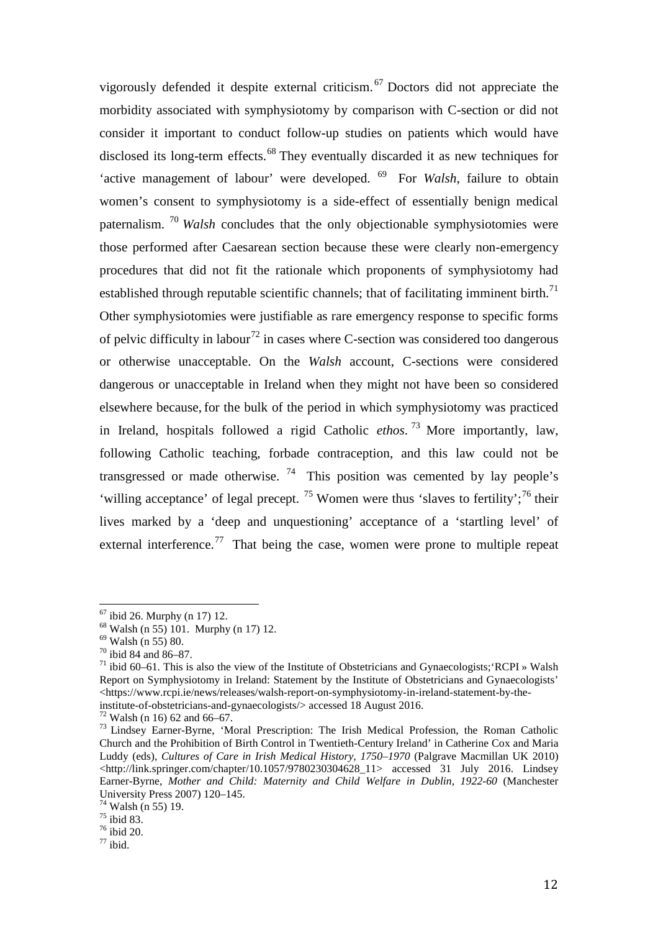vigorously defended it despite external criticism. [67](#page-12-0) Doctors did not appreciate the morbidity associated with symphysiotomy by comparison with C-section or did not consider it important to conduct follow-up studies on patients which would have disclosed its long-term effects.<sup>[68](#page-12-1)</sup> They eventually discarded it as new techniques for 'active management of labour' were developed. [69](#page-12-2) For *Walsh*, failure to obtain women's consent to symphysiotomy is a side-effect of essentially benign medical paternalism. [70](#page-12-3) *Walsh* concludes that the only objectionable symphysiotomies were those performed after Caesarean section because these were clearly non-emergency procedures that did not fit the rationale which proponents of symphysiotomy had established through reputable scientific channels; that of facilitating imminent birth.<sup>[71](#page-12-4)</sup> Other symphysiotomies were justifiable as rare emergency response to specific forms of pelvic difficulty in labour<sup>[72](#page-12-5)</sup> in cases where C-section was considered too dangerous or otherwise unacceptable. On the *Walsh* account, C-sections were considered dangerous or unacceptable in Ireland when they might not have been so considered elsewhere because, for the bulk of the period in which symphysiotomy was practiced in Ireland, hospitals followed a rigid Catholic *ethos*. [73](#page-12-6) More importantly, law, following Catholic teaching, forbade contraception, and this law could not be transgressed or made otherwise.  $74$  This position was cemented by lay people's 'willing acceptance' of legal precept. <sup>[75](#page-12-8)</sup> Women were thus 'slaves to fertility';<sup>[76](#page-12-9)</sup> their lives marked by a 'deep and unquestioning' acceptance of a 'startling level' of external interference.<sup>[77](#page-12-10)</sup> That being the case, women were prone to multiple repeat

 $67$  ibid 26. Murphy (n 17) 12.

<span id="page-12-4"></span><span id="page-12-3"></span>

<span id="page-12-2"></span><span id="page-12-1"></span><span id="page-12-0"></span><sup>&</sup>lt;sup>68</sup> Walsh (n 55) 101. Murphy (n 17) 12.<br><sup>69</sup> Walsh (n 55) 80.<br><sup>70</sup> ibid 84 and 86–87.<br><sup>71</sup> ibid 60–61. This is also the view of the Institute of Obstetricians and Gynaecologists;'RCPI » Walsh Report on Symphysiotomy in Ireland: Statement by the Institute of Obstetricians and Gynaecologists'  $\langle$ https://www.rcpi.ie/news/releases/walsh-report-on-symphysiotomy-in-ireland-statement-by-the-<br>institute-of-obstetricians-and-gynaecologists/> accessed 18 August 2016.

<span id="page-12-6"></span><span id="page-12-5"></span><sup>&</sup>lt;sup>72</sup> Walsh (n 16) 62 and 66–67.<br><sup>73</sup> Lindsey Earner-Byrne, 'Moral Prescription: The Irish Medical Profession, the Roman Catholic Church and the Prohibition of Birth Control in Twentieth-Century Ireland' in Catherine Cox and Maria Luddy (eds), *Cultures of Care in Irish Medical History, 1750–1970* (Palgrave Macmillan UK 2010) <http://link.springer.com/chapter/10.1057/9780230304628\_11> accessed 31 July 2016. Lindsey Earner-Byrne, *Mother and Child: Maternity and Child Welfare in Dublin, 1922-60* (Manchester

<span id="page-12-8"></span><span id="page-12-7"></span><sup>&</sup>lt;sup>74</sup> Walsh (n 55) 19.<br><sup>75</sup> ibid 83.<br><sup>76</sup> ibid 20.<br><sup>77</sup> ibid.

<span id="page-12-10"></span><span id="page-12-9"></span>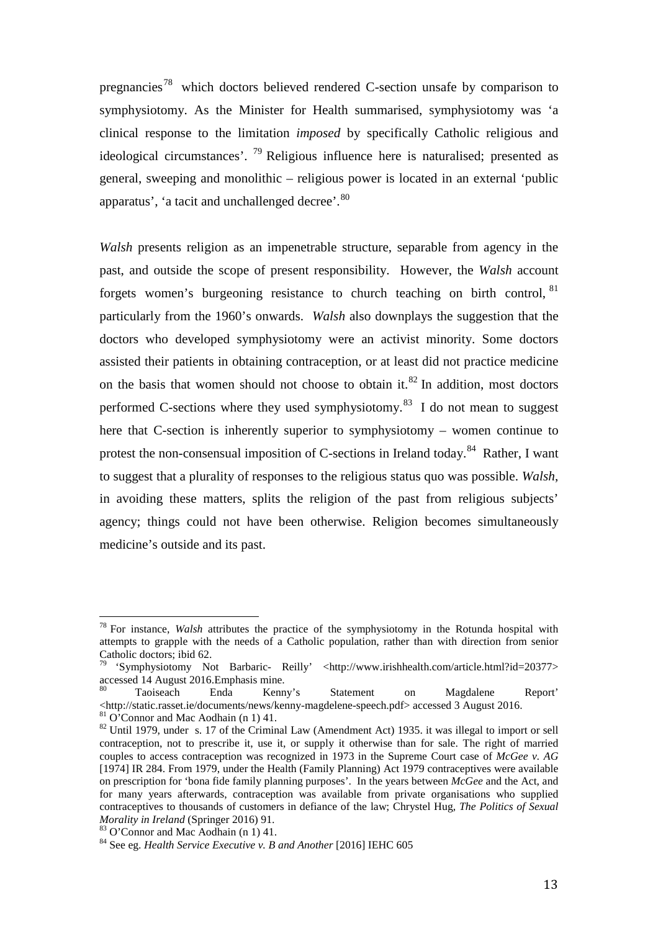pregnancies<sup>[78](#page-13-0)</sup> which doctors believed rendered C-section unsafe by comparison to symphysiotomy. As the Minister for Health summarised, symphysiotomy was 'a clinical response to the limitation *imposed* by specifically Catholic religious and ideological circumstances'.  $^{79}$  $^{79}$  $^{79}$  Religious influence here is naturalised; presented as general, sweeping and monolithic – religious power is located in an external 'public apparatus', 'a tacit and unchallenged decree'.<sup>[80](#page-13-2)</sup>

*Walsh* presents religion as an impenetrable structure, separable from agency in the past, and outside the scope of present responsibility. However, the *Walsh* account forgets women's burgeoning resistance to church teaching on birth control, [81](#page-13-3) particularly from the 1960's onwards. *Walsh* also downplays the suggestion that the doctors who developed symphysiotomy were an activist minority. Some doctors assisted their patients in obtaining contraception, or at least did not practice medicine on the basis that women should not choose to obtain it.<sup>[82](#page-13-4)</sup> In addition, most doctors performed C-sections where they used symphysiotomy.<sup>[83](#page-13-5)</sup> I do not mean to suggest here that C-section is inherently superior to symphysiotomy – women continue to protest the non-consensual imposition of C-sections in Ireland today.<sup>[84](#page-13-6)</sup> Rather, I want to suggest that a plurality of responses to the religious status quo was possible. *Walsh*, in avoiding these matters, splits the religion of the past from religious subjects' agency; things could not have been otherwise. Religion becomes simultaneously medicine's outside and its past.

<span id="page-13-0"></span><sup>78</sup> For instance, *Walsh* attributes the practice of the symphysiotomy in the Rotunda hospital with attempts to grapple with the needs of a Catholic population, rather than with direction from senior Catholic doctors; ibid 62.  $\overline{1}$ 

<span id="page-13-1"></span><sup>&#</sup>x27;Symphysiotomy Not Barbaric- Reilly' <http://www.irishhealth.com/article.html?id=20377> accessed 14 August 2016.Emphasis mine.<br>
<sup>80</sup> Taoiseach Enda Kenny's Statement on Magdalene Report'<br>
<http://static.rasset.ie/documents/news/kenny-magdelene-speech.pdf> accessed 3 August 2016.

<span id="page-13-2"></span> $\frac{\text{81}}{\text{82}}$  O'Connor and Mac Aodhain (n 1) 41.<br><sup>82</sup> Until 1979, under s. 17 of the Criminal Law (Amendment Act) 1935. it was illegal to import or sell

<span id="page-13-4"></span><span id="page-13-3"></span>contraception, not to prescribe it, use it, or supply it otherwise than for sale. The right of married couples to access contraception was recognized in 1973 in the Supreme Court case of *McGee v. AG*  [1974] IR 284. From 1979, under the Health (Family Planning) Act 1979 contraceptives were available on prescription for 'bona fide family planning purposes'. In the years between *McGee* and the Act, and for many years afterwards, contraception was available from private organisations who supplied contraceptives to thousands of customers in defiance of the law; Chrystel Hug, *The Politics of Sexual Morality in Ireland* (Springer 2016) 91.<br><sup>83</sup> O'Connor and Mac Aodhain (n 1) 41.<br><sup>84</sup> See eg. *Health Service Executive v. B and Another* [2016] IEHC 605

<span id="page-13-5"></span>

<span id="page-13-6"></span>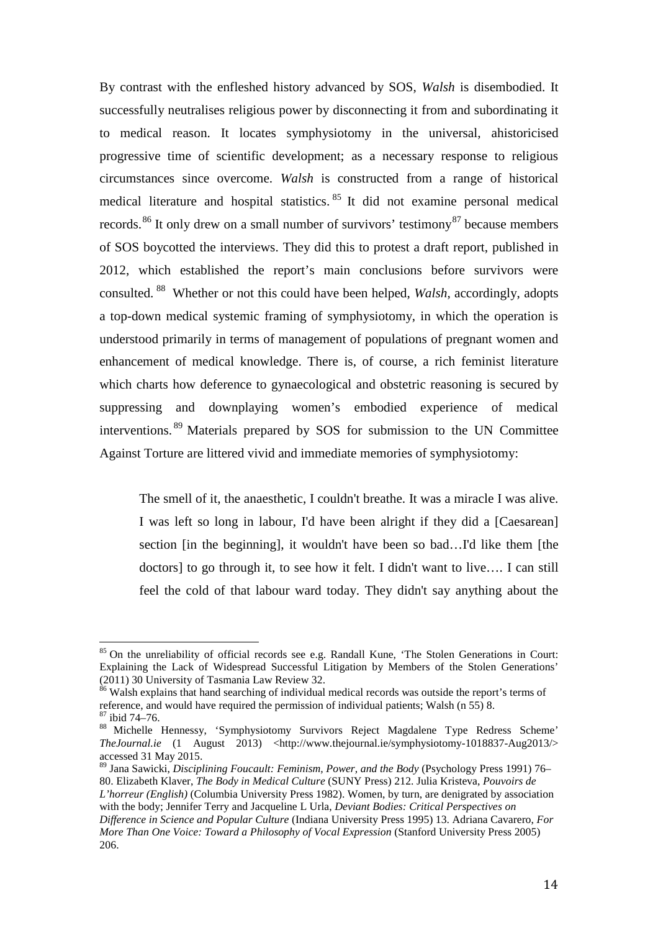By contrast with the enfleshed history advanced by SOS, *Walsh* is disembodied. It successfully neutralises religious power by disconnecting it from and subordinating it to medical reason. It locates symphysiotomy in the universal, ahistoricised progressive time of scientific development; as a necessary response to religious circumstances since overcome. *Walsh* is constructed from a range of historical medical literature and hospital statistics. [85](#page-14-0) It did not examine personal medical records.<sup>[86](#page-14-1)</sup> It only drew on a small number of survivors' testimony<sup>[87](#page-14-2)</sup> because members of SOS boycotted the interviews. They did this to protest a draft report, published in 2012, which established the report's main conclusions before survivors were consulted. [88](#page-14-3) Whether or not this could have been helped, *Walsh*, accordingly, adopts a top-down medical systemic framing of symphysiotomy, in which the operation is understood primarily in terms of management of populations of pregnant women and enhancement of medical knowledge. There is, of course, a rich feminist literature which charts how deference to gynaecological and obstetric reasoning is secured by suppressing and downplaying women's embodied experience of medical interventions. [89](#page-14-4) Materials prepared by SOS for submission to the UN Committee Against Torture are littered vivid and immediate memories of symphysiotomy:

The smell of it, the anaesthetic, I couldn't breathe. It was a miracle I was alive. I was left so long in labour, I'd have been alright if they did a [Caesarean] section [in the beginning], it wouldn't have been so bad…I'd like them [the doctors] to go through it, to see how it felt. I didn't want to live…. I can still feel the cold of that labour ward today. They didn't say anything about the

<span id="page-14-0"></span><sup>&</sup>lt;sup>85</sup> On the unreliability of official records see e.g. Randall Kune, 'The Stolen Generations in Court: Explaining the Lack of Widespread Successful Litigation by Members of the Stolen Generations' (2011) 30 University of Tasmania Law Review 32.  $\frac{1}{8}$ 

<span id="page-14-1"></span><sup>&</sup>lt;sup>86</sup> Walsh explains that hand searching of individual medical records was outside the report's terms of reference, and would have required the permission of individual patients; Walsh (n 55) 8.<br><sup>87</sup> ibid 74–76.<br><sup>88</sup> Michelle Hennessy, 'Symphysiotomy Survivors Reject Magdalene Type Redress Scheme'

<span id="page-14-3"></span><span id="page-14-2"></span>*TheJournal.ie* (1 August 2013) <http://www.thejournal.ie/symphysiotomy-1018837-Aug2013/> accessed 31 May 2015.

<span id="page-14-4"></span><sup>89</sup> Jana Sawicki, *Disciplining Foucault: Feminism, Power, and the Body* (Psychology Press 1991) 76– 80. Elizabeth Klaver, *The Body in Medical Culture* (SUNY Press) 212. Julia Kristeva, *Pouvoirs de L'horreur (English)* (Columbia University Press 1982). Women, by turn, are denigrated by association with the body; Jennifer Terry and Jacqueline L Urla, *Deviant Bodies: Critical Perspectives on Difference in Science and Popular Culture* (Indiana University Press 1995) 13. Adriana Cavarero, *For More Than One Voice: Toward a Philosophy of Vocal Expression* (Stanford University Press 2005) 206.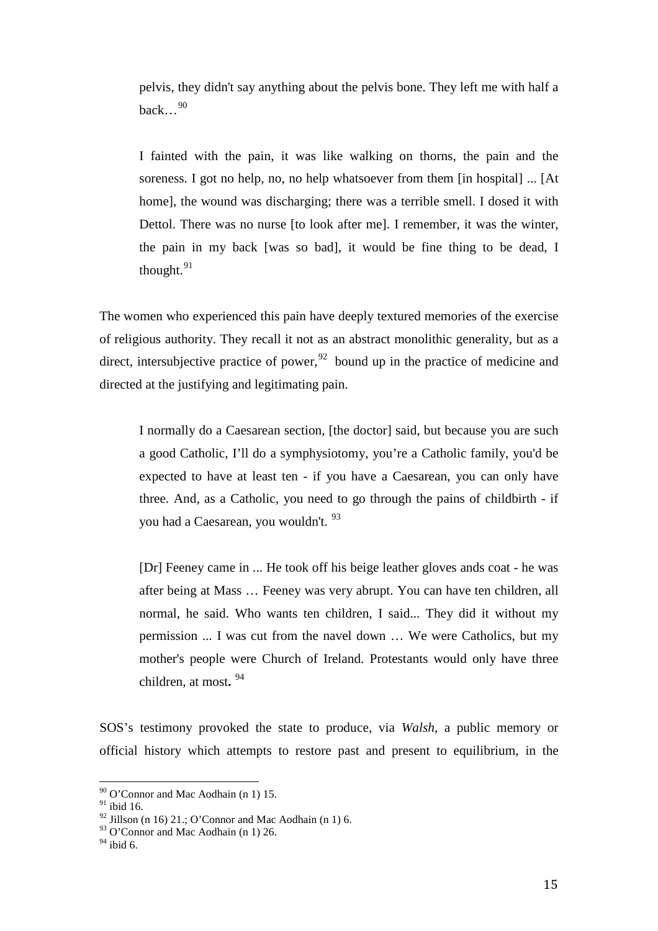pelvis, they didn't say anything about the pelvis bone. They left me with half a back... $^{90}$  $^{90}$  $^{90}$ 

I fainted with the pain, it was like walking on thorns, the pain and the soreness. I got no help, no, no help whatsoever from them [in hospital] ... [At home], the wound was discharging; there was a terrible smell. I dosed it with Dettol. There was no nurse [to look after me]. I remember, it was the winter, the pain in my back [was so bad], it would be fine thing to be dead, I thought. $91$ 

The women who experienced this pain have deeply textured memories of the exercise of religious authority. They recall it not as an abstract monolithic generality, but as a direct, intersubjective practice of power,  $92$  bound up in the practice of medicine and directed at the justifying and legitimating pain.

I normally do a Caesarean section, [the doctor] said, but because you are such a good Catholic, I'll do a symphysiotomy, you're a Catholic family, you'd be expected to have at least ten - if you have a Caesarean, you can only have three. And, as a Catholic, you need to go through the pains of childbirth - if you had a Caesarean, you wouldn't. [93](#page-15-3)

[Dr] Feeney came in ... He took off his beige leather gloves ands coat - he was after being at Mass … Feeney was very abrupt. You can have ten children, all normal, he said. Who wants ten children, I said... They did it without my permission ... I was cut from the navel down … We were Catholics, but my mother's people were Church of Ireland. Protestants would only have three children, at most**.** [94](#page-15-4)

SOS's testimony provoked the state to produce, via *Walsh*, a public memory or official history which attempts to restore past and present to equilibrium, in the

 $90$  O'Connor and Mac Aodhain (n 1) 15.  $\frac{1}{2}$ 

<span id="page-15-1"></span><span id="page-15-0"></span> $\real^{91}$ ibid 16.

 $92$  Jillson (n 16) 21.; O'Connor and Mac Aodhain (n 1) 6.

<span id="page-15-3"></span><span id="page-15-2"></span> $93$  O'Connor and Mac Aodhain (n 1) 26.

<span id="page-15-4"></span> $94$  ibid 6.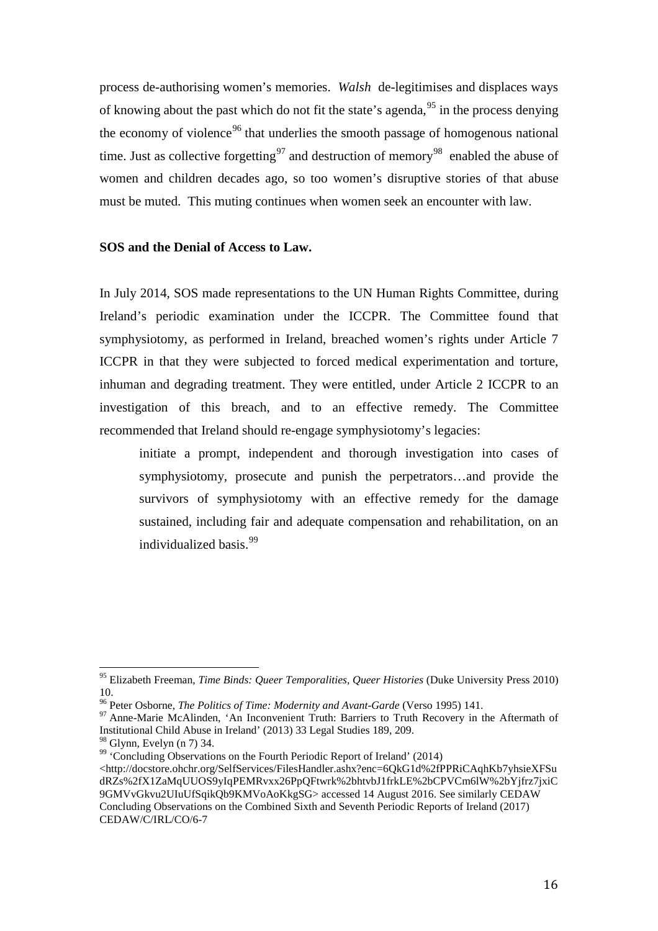process de-authorising women's memories. *Walsh* de-legitimises and displaces ways of knowing about the past which do not fit the state's agenda,<sup>[95](#page-16-0)</sup> in the process denying the economy of violence<sup>[96](#page-16-1)</sup> that underlies the smooth passage of homogenous national time. Just as collective forgetting<sup>[97](#page-16-2)</sup> and destruction of memory<sup>[98](#page-16-3)</sup> enabled the abuse of women and children decades ago, so too women's disruptive stories of that abuse must be muted. This muting continues when women seek an encounter with law.

### **SOS and the Denial of Access to Law.**

In July 2014, SOS made representations to the UN Human Rights Committee, during Ireland's periodic examination under the ICCPR. The Committee found that symphysiotomy, as performed in Ireland, breached women's rights under Article 7 ICCPR in that they were subjected to forced medical experimentation and torture, inhuman and degrading treatment. They were entitled, under Article 2 ICCPR to an investigation of this breach, and to an effective remedy. The Committee recommended that Ireland should re-engage symphysiotomy's legacies:

initiate a prompt, independent and thorough investigation into cases of symphysiotomy, prosecute and punish the perpetrators…and provide the survivors of symphysiotomy with an effective remedy for the damage sustained, including fair and adequate compensation and rehabilitation, on an individualized basis.[99](#page-16-4)

<span id="page-16-0"></span><sup>95</sup> Elizabeth Freeman, *Time Binds: Queer Temporalities, Queer Histories* (Duke University Press 2010) 10.<br><sup>96</sup> Peter Osborne, *The Politics of Time: Modernity and Avant-Garde* (Verso 1995) 141.  $\frac{1}{2}$ 

<span id="page-16-2"></span><span id="page-16-1"></span><sup>&</sup>lt;sup>97</sup> Anne-Marie McAlinden, 'An Inconvenient Truth: Barriers to Truth Recovery in the Aftermath of Institutional Child Abuse in Ireland' (2013) 33 Legal Studies 189, 209.

<span id="page-16-4"></span><span id="page-16-3"></span><sup>&</sup>lt;sup>99</sup> 'Concluding Observations on the Fourth Periodic Report of Ireland' (2014)

<sup>&</sup>lt;http://docstore.ohchr.org/SelfServices/FilesHandler.ashx?enc=6QkG1d%2fPPRiCAqhKb7yhsieXFSu dRZs%2fX1ZaMqUUOS9yIqPEMRvxx26PpQFtwrk%2bhtvbJ1frkLE%2bCPVCm6lW%2bYjfrz7jxiC 9GMVvGkvu2UIuUfSqikQb9KMVoAoKkgSG> accessed 14 August 2016. See similarly CEDAW Concluding Observations on the Combined Sixth and Seventh Periodic Reports of Ireland (2017) CEDAW/C/IRL/CO/6-7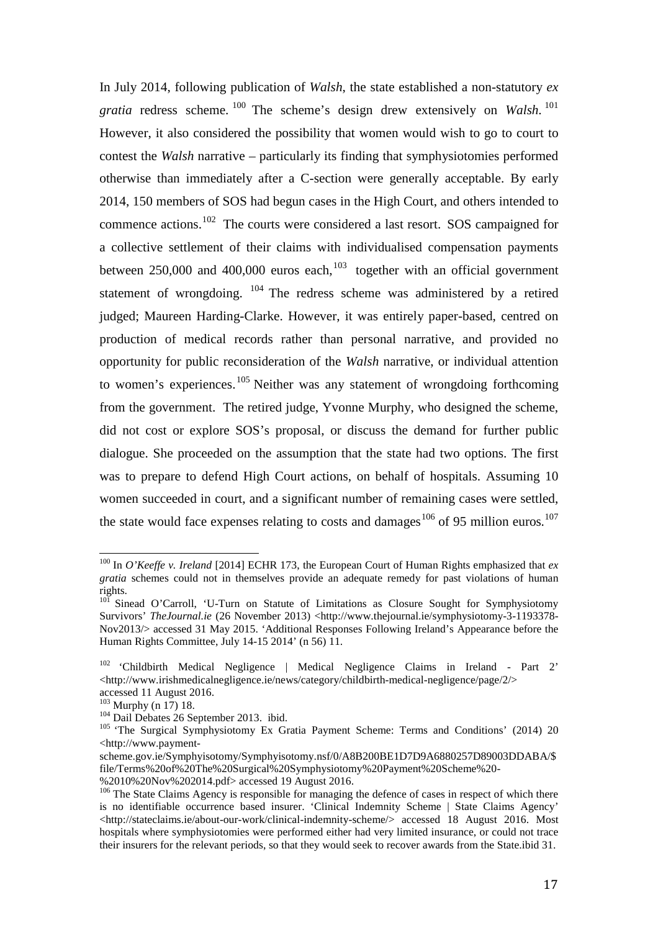In July 2014, following publication of *Walsh*, the state established a non-statutory *ex gratia* redress scheme. [100](#page-17-0) The scheme's design drew extensively on *Walsh*. [101](#page-17-1) However, it also considered the possibility that women would wish to go to court to contest the *Walsh* narrative – particularly its finding that symphysiotomies performed otherwise than immediately after a C-section were generally acceptable. By early 2014, 150 members of SOS had begun cases in the High Court, and others intended to commence actions.<sup>[102](#page-17-2)</sup> The courts were considered a last resort. SOS campaigned for a collective settlement of their claims with individualised compensation payments between 250,000 and 400,000 euros each, $103$  together with an official government statement of wrongdoing. [104](#page-17-4) The redress scheme was administered by a retired judged; Maureen Harding-Clarke. However, it was entirely paper-based, centred on production of medical records rather than personal narrative, and provided no opportunity for public reconsideration of the *Walsh* narrative, or individual attention to women's experiences.<sup>[105](#page-17-5)</sup> Neither was any statement of wrongdoing forthcoming from the government. The retired judge, Yvonne Murphy, who designed the scheme, did not cost or explore SOS's proposal, or discuss the demand for further public dialogue. She proceeded on the assumption that the state had two options. The first was to prepare to defend High Court actions, on behalf of hospitals. Assuming 10 women succeeded in court, and a significant number of remaining cases were settled, the state would face expenses relating to costs and damages<sup>[106](#page-17-6)</sup> of 95 million euros.<sup>107</sup>

<span id="page-17-7"></span><span id="page-17-0"></span><sup>100</sup> In *O'Keeffe v. Ireland* [2014] ECHR 173, the European Court of Human Rights emphasized that *ex gratia* schemes could not in themselves provide an adequate remedy for past violations of human rights.  $\overline{1}$ 

<span id="page-17-1"></span><sup>&</sup>lt;sup>101</sup> Sinead O'Carroll, 'U-Turn on Statute of Limitations as Closure Sought for Symphysiotomy Survivors' *TheJournal.ie* (26 November 2013) <http://www.thejournal.ie/symphysiotomy-3-1193378-Nov2013/> accessed 31 May 2015. 'Additional Responses Following Ireland's Appearance before the Human Rights Committee, July 14-15 2014' (n 56) 11.

<span id="page-17-2"></span><sup>102</sup> 'Childbirth Medical Negligence | Medical Negligence Claims in Ireland - Part 2' <http://www.irishmedicalnegligence.ie/news/category/childbirth-medical-negligence/page/2/> accessed 11 August 2016.<br> $^{103}$  Murphy (n 17) 18.

<span id="page-17-5"></span><span id="page-17-4"></span><span id="page-17-3"></span><sup>&</sup>lt;sup>104</sup> Dail Debates 26 September 2013. ibid.<br><sup>105</sup> 'The Surgical Symphysiotomy Ex Gratia Payment Scheme: Terms and Conditions' (2014) 20 <http://www.payment-

scheme.gov.ie/Symphyisotomy/Symphyisotomy.nsf/0/A8B200BE1D7D9A6880257D89003DDABA/\$ file/Terms%20of%20The%20Surgical%20Symphysiotomy%20Payment%20Scheme%20- %2010%20Nov%202014.pdf> accessed 19 August 2016.

<span id="page-17-6"></span><sup>&</sup>lt;sup>106</sup> The State Claims Agency is responsible for managing the defence of cases in respect of which there is no identifiable occurrence based insurer. 'Clinical Indemnity Scheme | State Claims Agency'  $\langle$ http://stateclaims.ie/about-our-work/clinical-indemnity-scheme/> accessed 18 August 2016. Most hospitals where symphysiotomies were performed either had very limited insurance, or could not trace their insurers for the relevant periods, so that they would seek to recover awards from the State.ibid 31.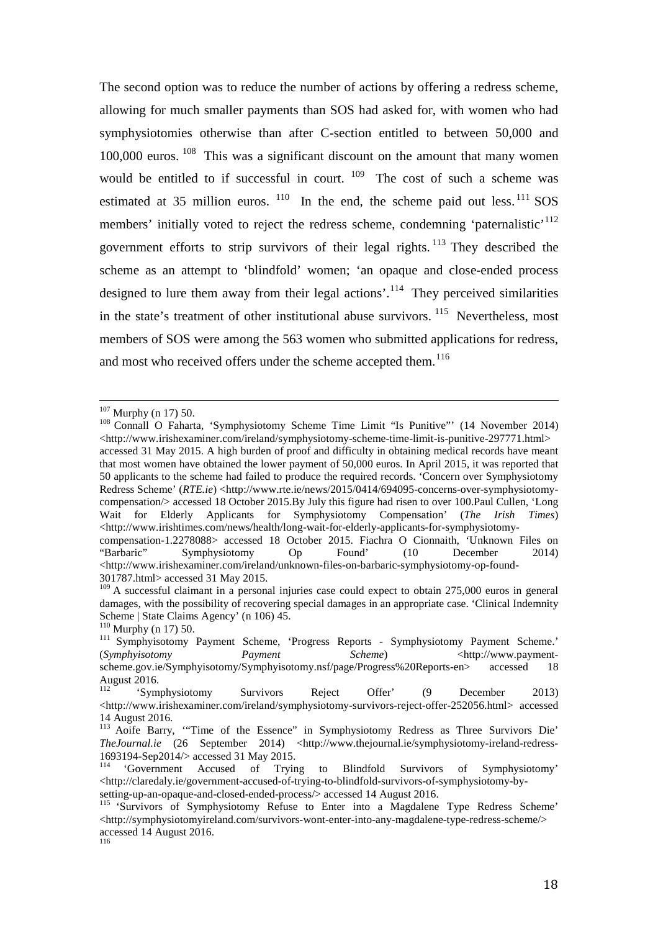The second option was to reduce the number of actions by offering a redress scheme, allowing for much smaller payments than SOS had asked for, with women who had symphysiotomies otherwise than after C-section entitled to between 50,000 and  $100,000$  euros.  $108$  This was a significant discount on the amount that many women would be entitled to if successful in court.  $109$  The cost of such a scheme was estimated at 35 million euros.  $110$  In the end, the scheme paid out less.  $111$  SOS members' initially voted to reject the redress scheme, condemning 'paternalistic'<sup>[112](#page-18-4)</sup> government efforts to strip survivors of their legal rights.<sup>[113](#page-18-5)</sup> They described the scheme as an attempt to 'blindfold' women; 'an opaque and close-ended process designed to lure them away from their legal actions'.<sup>[114](#page-18-6)</sup> They perceived similarities in the state's treatment of other institutional abuse survivors.  $115$  Nevertheless, most members of SOS were among the 563 women who submitted applications for redress, and most who received offers under the scheme accepted them.<sup>[116](#page-18-8)</sup>

 $107$  Murphy (n 17) 50.

<span id="page-18-0"></span><sup>&</sup>lt;sup>108</sup> Connall O Faharta, 'Symphysiotomy Scheme Time Limit "Is Punitive"' (14 November 2014) <http://www.irishexaminer.com/ireland/symphysiotomy-scheme-time-limit-is-punitive-297771.html> accessed 31 May 2015. A high burden of proof and difficulty in obtaining medical records have meant that most women have obtained the lower payment of 50,000 euros. In April 2015, it was reported that 50 applicants to the scheme had failed to produce the required records. 'Concern over Symphysiotomy Redress Scheme' (*RTE.ie*) <http://www.rte.ie/news/2015/0414/694095-concerns-over-symphysiotomycompensation/> accessed 18 October 2015.By July this figure had risen to over 100.Paul Cullen, 'Long Wait for Elderly Applicants for Symphysiotomy Compensation' (*The Irish Times*)  $\langle$ http://www.irishtimes.com/news/health/long-wait-for-elderly-applicants-for-symphysiotomy-

compensation-1.2278088> accessed 18 October 2015. Fiachra O Cionnaith, 'Unknown Files on "Barbaric" Symphysiotomy Op Found' (10 December 2014) <http://www.irishexaminer.com/ireland/unknown-files-on-barbaric-symphysiotomy-op-found-301787.html> accessed 31 May 2015.

<span id="page-18-1"></span><sup>&</sup>lt;sup>109</sup> A successful claimant in a personal injuries case could expect to obtain 275,000 euros in general damages, with the possibility of recovering special damages in an appropriate case. 'Clinical Indemnity Scheme | State Claims Agency' (n 106) 45.<br><sup>110</sup> Murphy (n 17) 50.

<span id="page-18-3"></span><span id="page-18-2"></span><sup>&</sup>lt;sup>111</sup> Symphyisotomy Payment Scheme, 'Progress Reports - Symphysiotomy Payment Scheme.' (*Symphyisotomy Payment* Scheme)  $\langle \text{http://www.payment-198} \rangle$ scheme.gov.ie/Symphyisotomy/Symphyisotomy.nsf/page/Progress%20Reports-en> accessed 18 August 2016.

<span id="page-18-4"></span><sup>&#</sup>x27;Symphysiotomy Survivors Reject Offer' (9 December 2013) <http://www.irishexaminer.com/ireland/symphysiotomy-survivors-reject-offer-252056.html> accessed 14 August 2016.

<span id="page-18-5"></span><sup>&</sup>lt;sup>113</sup> Aoife Barry, "Time of the Essence" in Symphysiotomy Redress as Three Survivors Die' *TheJournal.ie* (26 September 2014) <http://www.thejournal.ie/symphysiotomy-ireland-redress-1693194-Sep2014/> accessed 31 May 2015.

<span id="page-18-6"></span><sup>&</sup>lt;sup>114</sup> 'Government Accused of Trying to Blindfold Survivors of Symphysiotomy' <http://claredaly.ie/government-accused-of-trying-to-blindfold-survivors-of-symphysiotomy-by-

<span id="page-18-8"></span><span id="page-18-7"></span><sup>&</sup>lt;sup>115</sup> 'Survivors of Symphysiotomy Refuse to Enter into a Magdalene Type Redress Scheme' <http://symphysiotomyireland.com/survivors-wont-enter-into-any-magdalene-type-redress-scheme/> accessed 14 August 2016. 116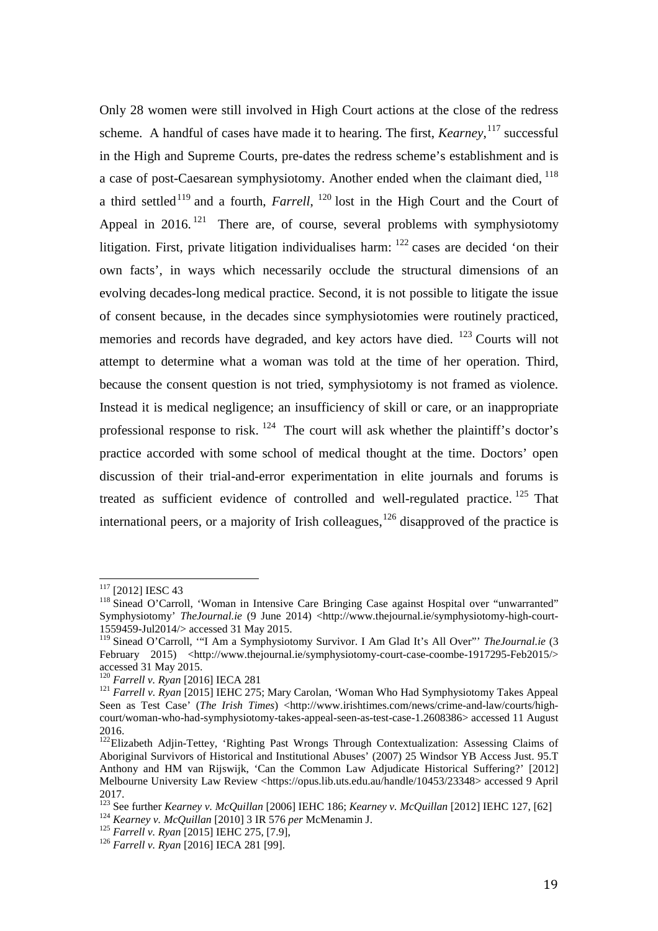Only 28 women were still involved in High Court actions at the close of the redress scheme. A handful of cases have made it to hearing. The first, *Kearney*, [117](#page-19-0) successful in the High and Supreme Courts, pre-dates the redress scheme's establishment and is a case of post-Caesarean symphysiotomy. Another ended when the claimant died,  $^{118}$  $^{118}$  $^{118}$ a third settled<sup>[119](#page-19-2)</sup> and a fourth, *Farrell*, <sup>[120](#page-19-3)</sup> lost in the High Court and the Court of Appeal in 2016.<sup>[121](#page-19-4)</sup> There are, of course, several problems with symphysiotomy litigation. First, private litigation individualises harm:  $^{122}$  $^{122}$  $^{122}$  cases are decided 'on their own facts', in ways which necessarily occlude the structural dimensions of an evolving decades-long medical practice. Second, it is not possible to litigate the issue of consent because, in the decades since symphysiotomies were routinely practiced, memories and records have degraded, and key actors have died.  $123$  Courts will not attempt to determine what a woman was told at the time of her operation. Third, because the consent question is not tried, symphysiotomy is not framed as violence. Instead it is medical negligence; an insufficiency of skill or care, or an inappropriate professional response to risk.  $124$  The court will ask whether the plaintiff's doctor's practice accorded with some school of medical thought at the time. Doctors' open discussion of their trial-and-error experimentation in elite journals and forums is treated as sufficient evidence of controlled and well-regulated practice.  $125$  That international peers, or a majority of Irish colleagues,  $126$  disapproved of the practice is

<span id="page-19-0"></span><sup>&</sup>lt;sup>117</sup> [2012] IESC 43

<span id="page-19-1"></span><sup>&</sup>lt;sup>118</sup> Sinead O'Carroll, 'Woman in Intensive Care Bringing Case against Hospital over "unwarranted" Symphysiotomy' *TheJournal.ie* (9 June 2014) <http://www.thejournal.ie/symphysiotomy-high-court-1559459-Jul2014/> accessed 31 May 2015.

<span id="page-19-2"></span><sup>&</sup>lt;sup>119</sup> Sinead O'Carroll, "I Am a Symphysiotomy Survivor. I Am Glad It's All Over" *TheJournal.ie* (3 February 2015) <http://www.thejournal.ie/symphysiotomy-court-case-coombe-1917295-Feb2015/> accessed 31 May 2015.<br><sup>120</sup> Farrell v. Ryan [2016] IECA 281

<span id="page-19-4"></span><span id="page-19-3"></span><sup>&</sup>lt;sup>121</sup> *Farrell v. Ryan* [2015] IEHC 275; Mary Carolan, 'Woman Who Had Symphysiotomy Takes Appeal Seen as Test Case' (*The Irish Times*) <http://www.irishtimes.com/news/crime-and-law/courts/highcourt/woman-who-had-symphysiotomy-takes-appeal-seen-as-test-case-1.2608386> accessed 11 August 2016.

<span id="page-19-5"></span><sup>&</sup>lt;sup>122</sup>Elizabeth Adjin-Tettey, 'Righting Past Wrongs Through Contextualization: Assessing Claims of Aboriginal Survivors of Historical and Institutional Abuses' (2007) 25 Windsor YB Access Just. 95.T Anthony and HM van Rijswijk, 'Can the Common Law Adjudicate Historical Suffering?' [2012] Melbourne University Law Review <https://opus.lib.uts.edu.au/handle/10453/23348> accessed 9 April 2017.

<span id="page-19-7"></span><span id="page-19-6"></span><sup>&</sup>lt;sup>123</sup> See further *Kearney v. McQuillan* [2006] IEHC 186; *Kearney v. McQuillan* [2012] IEHC 127, [62] <br><sup>124</sup> *Kearney v. McQuillan* [2010] 3 IR 576 *per* McMenamin J.<br><sup>125</sup> *Farrell v. Ryan* [2015] IEHC 275, [7.9],<br><sup>126</sup>

<span id="page-19-8"></span>

<span id="page-19-9"></span>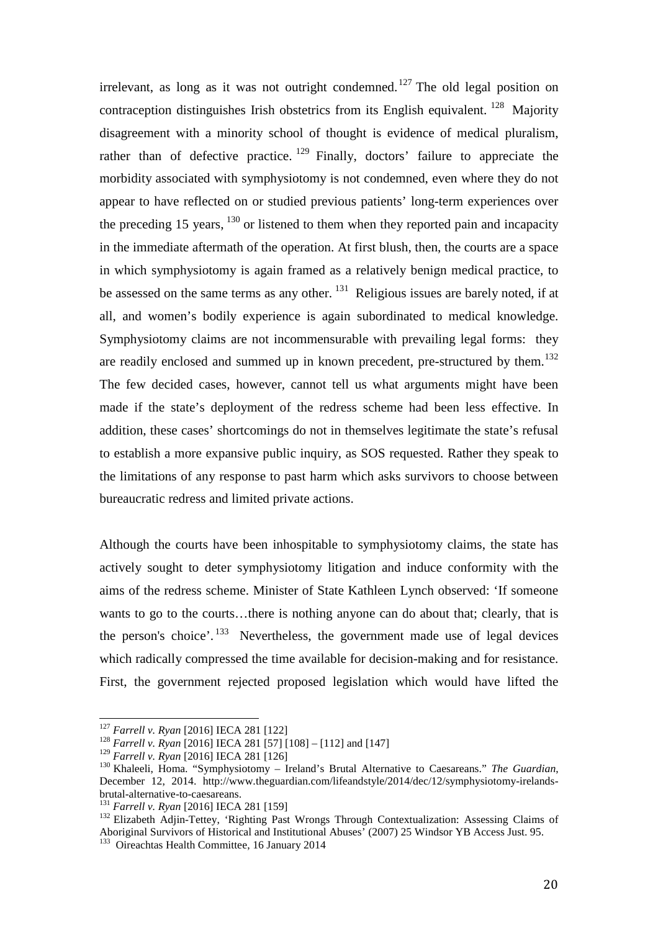irrelevant, as long as it was not outright condemned.<sup>[127](#page-20-0)</sup> The old legal position on contraception distinguishes Irish obstetrics from its English equivalent. <sup>[128](#page-20-1)</sup> Majority disagreement with a minority school of thought is evidence of medical pluralism, rather than of defective practice.  $129$  Finally, doctors' failure to appreciate the morbidity associated with symphysiotomy is not condemned, even where they do not appear to have reflected on or studied previous patients' long-term experiences over the preceding 15 years,  $^{130}$  $^{130}$  $^{130}$  or listened to them when they reported pain and incapacity in the immediate aftermath of the operation. At first blush, then, the courts are a space in which symphysiotomy is again framed as a relatively benign medical practice, to be assessed on the same terms as any other. <sup>[131](#page-20-4)</sup> Religious issues are barely noted, if at all, and women's bodily experience is again subordinated to medical knowledge. Symphysiotomy claims are not incommensurable with prevailing legal forms: they are readily enclosed and summed up in known precedent, pre-structured by them.<sup>132</sup> The few decided cases, however, cannot tell us what arguments might have been made if the state's deployment of the redress scheme had been less effective. In addition, these cases' shortcomings do not in themselves legitimate the state's refusal to establish a more expansive public inquiry, as SOS requested. Rather they speak to the limitations of any response to past harm which asks survivors to choose between bureaucratic redress and limited private actions.

Although the courts have been inhospitable to symphysiotomy claims, the state has actively sought to deter symphysiotomy litigation and induce conformity with the aims of the redress scheme. Minister of State Kathleen Lynch observed: 'If someone wants to go to the courts…there is nothing anyone can do about that; clearly, that is the person's choice'. [133](#page-20-6)Nevertheless, the government made use of legal devices which radically compressed the time available for decision-making and for resistance. First, the government rejected proposed legislation which would have lifted the

<span id="page-20-0"></span> $127$  Farrell v. Ryan [2016] IECA 281 [122]

<span id="page-20-1"></span><sup>&</sup>lt;sup>128</sup> *Farrell v. Ryan* [2016] IECA 281 [57] [108] – [112] and [147] <sup>129</sup> *Farrell v. Ryan* [2016] IECA 281 [126]

<span id="page-20-2"></span>

<span id="page-20-3"></span><sup>&</sup>lt;sup>130</sup> Khaleeli, Homa. "Symphysiotomy – Ireland's Brutal Alternative to Caesareans." *The Guardian*, December 12, 2014. http://www.theguardian.com/lifeandstyle/2014/dec/12/symphysiotomy-irelands-<br>brutal-alternative-to-caesareans.

<span id="page-20-6"></span><span id="page-20-5"></span><span id="page-20-4"></span>

<sup>&</sup>lt;sup>131</sup> *Farrell v. Ryan* [2016] IECA 281 [159]<br><sup>132</sup> Elizabeth Adjin-Tettey, 'Righting Past Wrongs Through Contextualization: Assessing Claims of Aboriginal Survivors of Historical and Institutional Abuses' (2007) 25 Windsor YB Access Just. 95. 133 Oireachtas Health Committee, 16 January 2014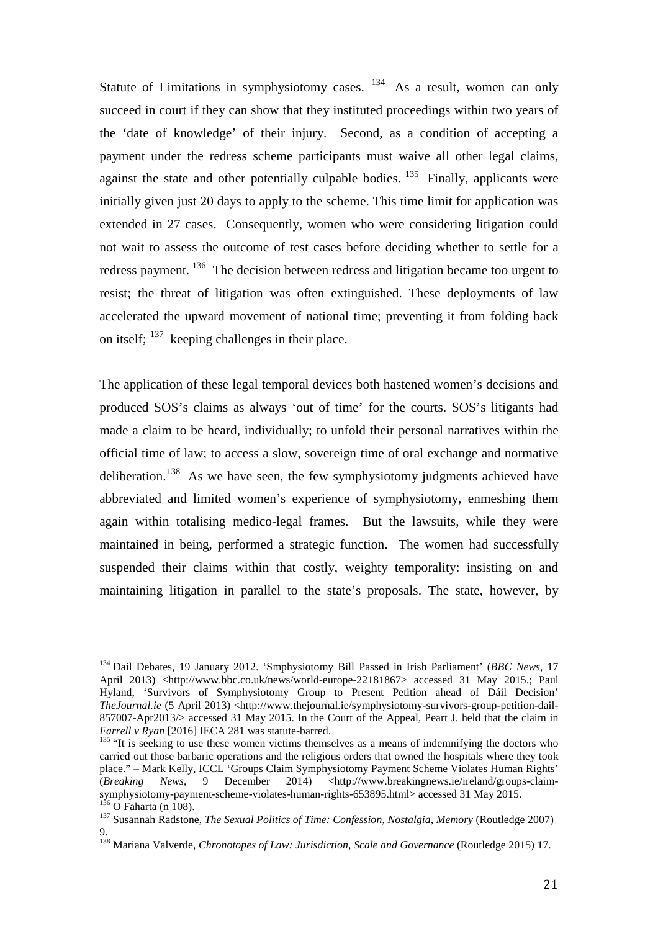Statute of Limitations in symphysiotomy cases.  $134$  As a result, women can only succeed in court if they can show that they instituted proceedings within two years of the 'date of knowledge' of their injury. Second, as a condition of accepting a payment under the redress scheme participants must waive all other legal claims, against the state and other potentially culpable bodies.  $135$  Finally, applicants were initially given just 20 days to apply to the scheme. This time limit for application was extended in 27 cases. Consequently, women who were considering litigation could not wait to assess the outcome of test cases before deciding whether to settle for a redress payment. <sup>[136](#page-21-2)</sup> The decision between redress and litigation became too urgent to resist; the threat of litigation was often extinguished. These deployments of law accelerated the upward movement of national time; preventing it from folding back on itself;  $137$  keeping challenges in their place.

The application of these legal temporal devices both hastened women's decisions and produced SOS's claims as always 'out of time' for the courts. SOS's litigants had made a claim to be heard, individually; to unfold their personal narratives within the official time of law; to access a slow, sovereign time of oral exchange and normative deliberation.<sup>[138](#page-21-4)</sup> As we have seen, the few symphysiotomy judgments achieved have abbreviated and limited women's experience of symphysiotomy, enmeshing them again within totalising medico-legal frames. But the lawsuits, while they were maintained in being, performed a strategic function. The women had successfully suspended their claims within that costly, weighty temporality: insisting on and maintaining litigation in parallel to the state's proposals. The state, however, by

<span id="page-21-0"></span><sup>134</sup> Dail Debates, 19 January 2012. 'Smphysiotomy Bill Passed in Irish Parliament' (*BBC News*, 17 April 2013) <http://www.bbc.co.uk/news/world-europe-22181867> accessed 31 May 2015.; Paul Hyland, 'Survivors of Symphysiotomy Group to Present Petition ahead of Dáil Decision' *TheJournal.ie* (5 April 2013) <http://www.thejournal.ie/symphysiotomy-survivors-group-petition-dail-857007-Apr2013/> accessed 31 May 2015. In the Court of the Appeal, Peart J. held that the claim in *Farrell v Ryan* [2016] IECA 281 was statute-barred.  $\overline{1}$ 

<span id="page-21-1"></span><sup>&</sup>lt;sup>135</sup> "It is seeking to use these women victims themselves as a means of indemnifying the doctors who carried out those barbaric operations and the religious orders that owned the hospitals where they took place." – Mark Kelly, ICCL 'Groups Claim Symphysiotomy Payment Scheme Violates Human Rights' (*Breaking News*, 9 December 2014) <http://www.breakingnews.ie/ireland/groups-claim-<br>symphysiotomy-payment-scheme-violates-human-rights-653895.html> accessed 31 May 2015. <sup>136</sup> O Faharta (n 108).<br><sup>137</sup> Susannah Radstone, *The Sexual Politics of Time: Confession, Nostalgia, Memory* (Routledge 2007)

<span id="page-21-3"></span><span id="page-21-2"></span><sup>9.</sup>

<span id="page-21-4"></span><sup>138</sup> Mariana Valverde, *Chronotopes of Law: Jurisdiction, Scale and Governance* (Routledge 2015) 17.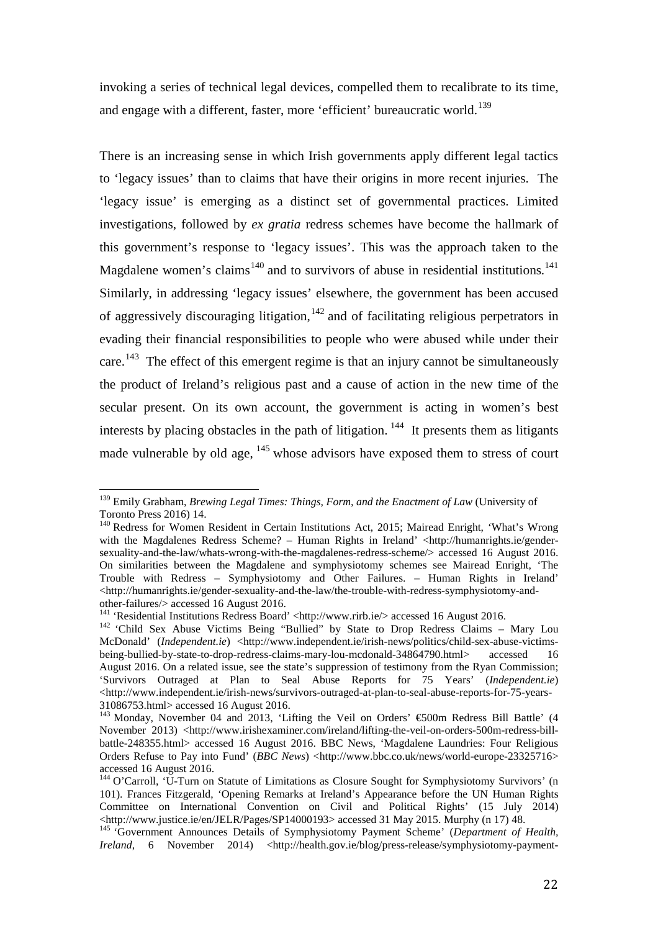invoking a series of technical legal devices, compelled them to recalibrate to its time, and engage with a different, faster, more 'efficient' bureaucratic world.<sup>[139](#page-22-0)</sup>

There is an increasing sense in which Irish governments apply different legal tactics to 'legacy issues' than to claims that have their origins in more recent injuries. The 'legacy issue' is emerging as a distinct set of governmental practices. Limited investigations, followed by *ex gratia* redress schemes have become the hallmark of this government's response to 'legacy issues'. This was the approach taken to the Magdalene women's claims<sup>[140](#page-22-1)</sup> and to survivors of abuse in residential institutions.<sup>141</sup> Similarly, in addressing 'legacy issues' elsewhere, the government has been accused of aggressively discouraging litigation,  $142$  and of facilitating religious perpetrators in evading their financial responsibilities to people who were abused while under their care.<sup>143</sup> The effect of this emergent regime is that an injury cannot be simultaneously the product of Ireland's religious past and a cause of action in the new time of the secular present. On its own account, the government is acting in women's best interests by placing obstacles in the path of litigation.  $144$  It presents them as litigants made vulnerable by old age,  $145$  whose advisors have exposed them to stress of court

<span id="page-22-0"></span><sup>139</sup> Emily Grabham, *Brewing Legal Times: Things, Form, and the Enactment of Law* (University of Toronto Press 2016) 14.  $\overline{1}$ 

<span id="page-22-1"></span><sup>&</sup>lt;sup>140</sup> Redress for Women Resident in Certain Institutions Act, 2015; Mairead Enright, 'What's Wrong with the Magdalenes Redress Scheme? – Human Rights in Ireland' <http://humanrights.ie/gendersexuality-and-the-law/whats-wrong-with-the-magdalenes-redress-scheme/> accessed 16 August 2016. On similarities between the Magdalene and symphysiotomy schemes see Mairead Enright, 'The Trouble with Redress – Symphysiotomy and Other Failures. – Human Rights in Ireland' <http://humanrights.ie/gender-sexuality-and-the-law/the-trouble-with-redress-symphysiotomy-and-

<span id="page-22-3"></span><span id="page-22-2"></span><sup>&</sup>lt;sup>141</sup> 'Residential Institutions Redress Board' <http://www.rirb.ie/> accessed 16 August 2016.<br><sup>142</sup> 'Child Sex Abuse Victims Being "Bullied" by State to Drop Redress Claims – Mary Lou McDonald' (*Independent.ie*) <http://www.independent.ie/irish-news/politics/child-sex-abuse-victimsbeing-bullied-by-state-to-drop-redress-claims-mary-lou-mcdonald-34864790.html> accessed 16 August 2016. On a related issue, see the state's suppression of testimony from the Ryan Commission; 'Survivors Outraged at Plan to Seal Abuse Reports for 75 Years' (*Independent.ie*) <http://www.independent.ie/irish-news/survivors-outraged-at-plan-to-seal-abuse-reports-for-75-years-31086753.html> accessed 16 August 2016.

<span id="page-22-4"></span><sup>&</sup>lt;sup>143</sup> Monday, November 04 and 2013, 'Lifting the Veil on Orders'  $\epsilon$ 500m Redress Bill Battle' (4 November 2013) <http://www.irishexaminer.com/ireland/lifting-the-veil-on-orders-500m-redress-billbattle-248355.html> accessed 16 August 2016. BBC News, 'Magdalene Laundries: Four Religious Orders Refuse to Pay into Fund' (*BBC News*) <http://www.bbc.co.uk/news/world-europe-23325716> accessed 16 August 2016.

<span id="page-22-5"></span><sup>&</sup>lt;sup>144</sup> O'Carroll, 'U-Turn on Statute of Limitations as Closure Sought for Symphysiotomy Survivors' (n 101). Frances Fitzgerald, 'Opening Remarks at Ireland's Appearance before the UN Human Rights Committee on International Convention on Civil and Political Rights' (15 July 2014)<br>
<http://www.justice.ie/en/JELR/Pages/SP14000193> accessed 31 May 2015. Murphy (n 17) 48.

<span id="page-22-6"></span><sup>&</sup>lt;sup>145</sup> 'Government Announces Details of Symphysiotomy Payment Scheme' (*Department of Health*, *Ireland*, 6 November 2014) <http://health.gov.ie/blog/press-release/symphysiotomy-payment-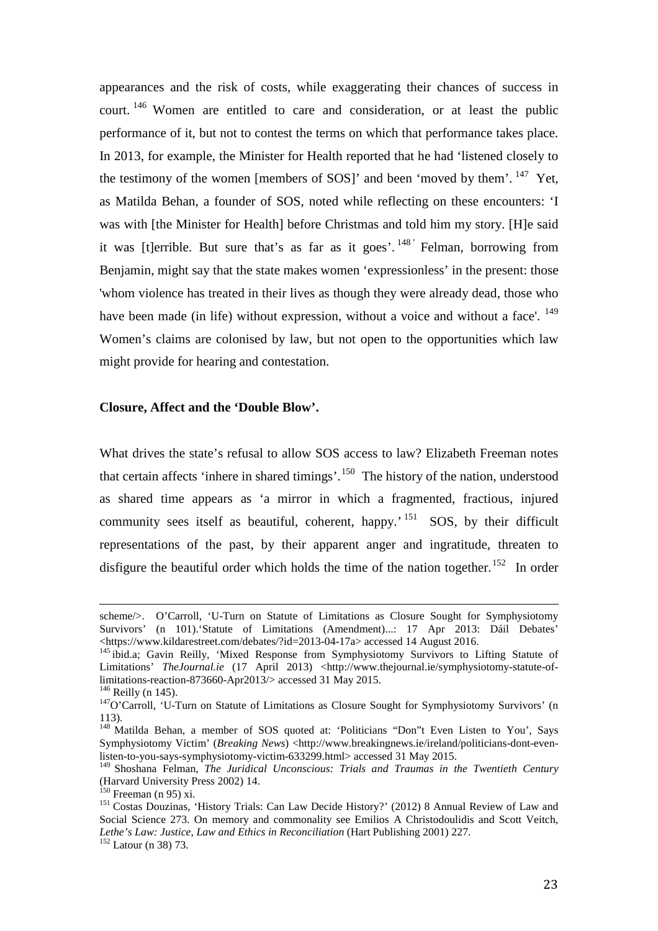appearances and the risk of costs, while exaggerating their chances of success in court. [146](#page-23-0) Women are entitled to care and consideration, or at least the public performance of it, but not to contest the terms on which that performance takes place. In 2013, for example, the Minister for Health reported that he had 'listened closely to the testimony of the women [members of SOS]' and been 'moved by them'. <sup>[147](#page-23-1)</sup> Yet, as Matilda Behan, a founder of SOS, noted while reflecting on these encounters: 'I was with [the Minister for Health] before Christmas and told him my story. [H]e said it was [t]errible. But sure that's as far as it goes'.  $148'$  $148'$  Felman, borrowing from Benjamin, might say that the state makes women 'expressionless' in the present: those 'whom violence has treated in their lives as though they were already dead, those who have been made (in life) without expression, without a voice and without a face'. <sup>[149](#page-23-3)</sup> Women's claims are colonised by law, but not open to the opportunities which law might provide for hearing and contestation.

## **Closure, Affect and the 'Double Blow'.**

What drives the state's refusal to allow SOS access to law? Elizabeth Freeman notes that certain affects 'inhere in shared timings'.[150](#page-23-4) The history of the nation, understood as shared time appears as 'a mirror in which a fragmented, fractious, injured community sees itself as beautiful, coherent, happy.'<sup>[151](#page-23-5)</sup> SOS, by their difficult representations of the past, by their apparent anger and ingratitude, threaten to disfigure the beautiful order which holds the time of the nation together.<sup>[152](#page-23-6)</sup> In order

23

scheme/>. O'Carroll, 'U-Turn on Statute of Limitations as Closure Sought for Symphysiotomy Survivors' (n 101). Statute of Limitations (Amendment)...: 17 Apr 2013: Dáil Debates' <https://www.kildarestreet.com/debates/?id=2013-04-17a> accessed 14 August 2016. I

<sup>&</sup>lt;sup>145</sup> ibid.a; Gavin Reilly, 'Mixed Response from Symphysiotomy Survivors to Lifting Statute of Limitations' *TheJournal.ie* (17 April 2013) <http://www.thejournal.ie/symphysiotomy-statute-oflimitations-reaction-873660-Apr2013/> accessed 31 May 2015.<br><sup>146</sup> Reilly (n 145).<br><sup>147</sup>O'Carroll, 'U-Turn on Statute of Limitations as Closure Sought for Symphysiotomy Survivors' (n

<span id="page-23-0"></span>

<span id="page-23-1"></span><sup>113).</sup>

<span id="page-23-2"></span><sup>&</sup>lt;sup>148</sup> Matilda Behan, a member of SOS quoted at: 'Politicians "Don"t Even Listen to You', Says Symphysiotomy Victim' (*Breaking News*) <http://www.breakingnews.ie/ireland/politicians-dont-evenlisten-to-you-says-symphysiotomy-victim-633299.html> accessed 31 May 2015.

<span id="page-23-3"></span><sup>149</sup> Shoshana Felman, *The Juridical Unconscious: Trials and Traumas in the Twentieth Century* (Harvard University Press 2002) 14.<br><sup>150</sup> Freeman (n 95) xi.

<span id="page-23-6"></span><span id="page-23-5"></span><span id="page-23-4"></span><sup>&</sup>lt;sup>151</sup> Costas Douzinas, 'History Trials: Can Law Decide History?' (2012) 8 Annual Review of Law and Social Science 273. On memory and commonality see Emilios A Christodoulidis and Scott Veitch, *Lethe's Law: Justice, Law and Ethics in Reconciliation* (Hart Publishing 2001) 227. <sup>152</sup> Latour (n 38) 73.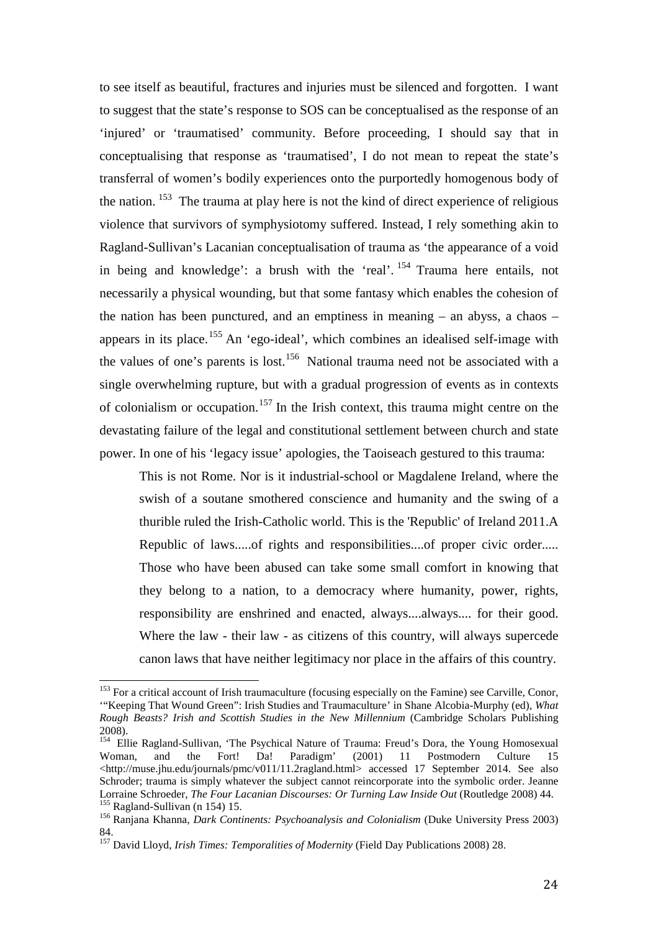to see itself as beautiful, fractures and injuries must be silenced and forgotten. I want to suggest that the state's response to SOS can be conceptualised as the response of an 'injured' or 'traumatised' community. Before proceeding, I should say that in conceptualising that response as 'traumatised', I do not mean to repeat the state's transferral of women's bodily experiences onto the purportedly homogenous body of the nation.  $153$  The trauma at play here is not the kind of direct experience of religious violence that survivors of symphysiotomy suffered. Instead, I rely something akin to Ragland-Sullivan's Lacanian conceptualisation of trauma as 'the appearance of a void in being and knowledge': a brush with the 'real'.  $154$  Trauma here entails, not necessarily a physical wounding, but that some fantasy which enables the cohesion of the nation has been punctured, and an emptiness in meaning – an abyss, a chaos – appears in its place.<sup>[155](#page-24-2)</sup> An 'ego-ideal', which combines an idealised self-image with the values of one's parents is lost.<sup>156</sup> National trauma need not be associated with a single overwhelming rupture, but with a gradual progression of events as in contexts of colonialism or occupation.<sup>[157](#page-24-4)</sup> In the Irish context, this trauma might centre on the devastating failure of the legal and constitutional settlement between church and state power. In one of his 'legacy issue' apologies, the Taoiseach gestured to this trauma:

This is not Rome. Nor is it industrial-school or Magdalene Ireland, where the swish of a soutane smothered conscience and humanity and the swing of a thurible ruled the Irish-Catholic world. This is the 'Republic' of Ireland 2011.A Republic of laws.....of rights and responsibilities....of proper civic order..... Those who have been abused can take some small comfort in knowing that they belong to a nation, to a democracy where humanity, power, rights, responsibility are enshrined and enacted, always....always.... for their good. Where the law - their law - as citizens of this country, will always supercede canon laws that have neither legitimacy nor place in the affairs of this country.

<span id="page-24-0"></span><sup>&</sup>lt;sup>153</sup> For a critical account of Irish traumaculture (focusing especially on the Famine) see Carville, Conor, '"Keeping That Wound Green": Irish Studies and Traumaculture' in Shane Alcobia-Murphy (ed), *What Rough Beasts? Irish and Scottish Studies in the New Millennium* (Cambridge Scholars Publishing 2008).  $\overline{1}$ 

<span id="page-24-1"></span><sup>&</sup>lt;sup>154</sup> Ellie Ragland-Sullivan, 'The Psychical Nature of Trauma: Freud's Dora, the Young Homosexual Woman, and the Fort! Da! Paradigm' (2001) 11 Postmodern Culture 15 <http://muse.jhu.edu/journals/pmc/v011/11.2ragland.html> accessed 17 September 2014. See also Schroder; trauma is simply whatever the subject cannot reincorporate into the symbolic order. Jeanne<br>Lorraine Schroeder, *The Four Lacanian Discourses: Or Turning Law Inside Out* (Routledge 2008) 44. <sup>155</sup> Ragland-Sullivan (n 154) 15.<br><sup>156</sup> Ranjana Khanna, *Dark Continents: Psychoanalysis and Colonialism* (Duke University Press 2003)

<span id="page-24-3"></span><span id="page-24-2"></span><sup>84.</sup>

<span id="page-24-4"></span><sup>157</sup> David Lloyd, *Irish Times: Temporalities of Modernity* (Field Day Publications 2008) 28.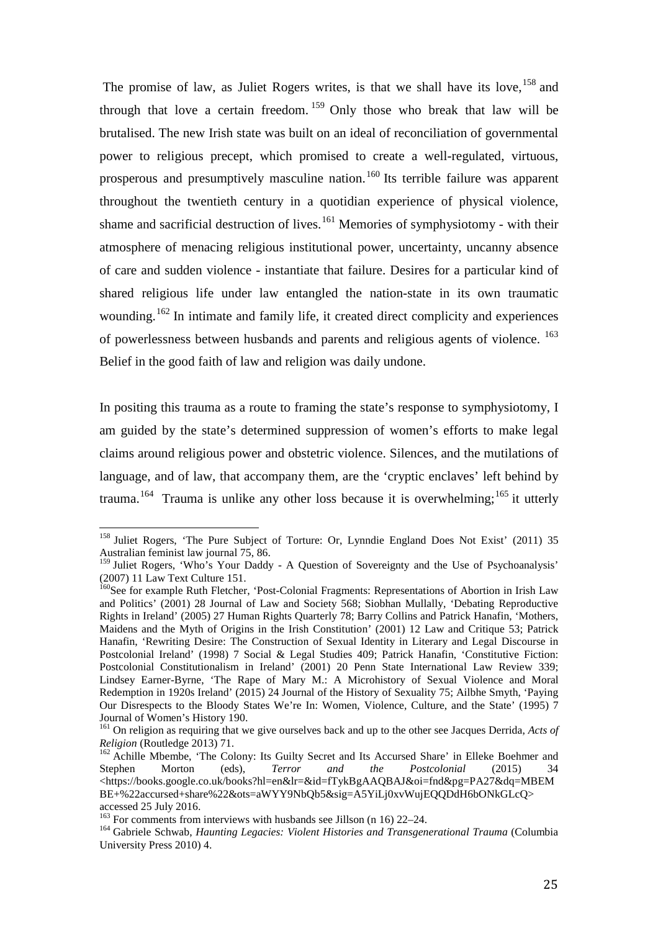The promise of law, as Juliet Rogers writes, is that we shall have its love, <sup>[158](#page-25-0)</sup> and through that love a certain freedom.  $159$  Only those who break that law will be brutalised. The new Irish state was built on an ideal of reconciliation of governmental power to religious precept, which promised to create a well-regulated, virtuous, prosperous and presumptively masculine nation. [160](#page-25-2) Its terrible failure was apparent throughout the twentieth century in a quotidian experience of physical violence, shame and sacrificial destruction of lives.<sup>[161](#page-25-3)</sup> Memories of symphysiotomy - with their atmosphere of menacing religious institutional power, uncertainty, uncanny absence of care and sudden violence - instantiate that failure. Desires for a particular kind of shared religious life under law entangled the nation-state in its own traumatic wounding.<sup>[162](#page-25-4)</sup> In intimate and family life, it created direct complicity and experiences of powerlessness between husbands and parents and religious agents of violence. [163](#page-25-5) Belief in the good faith of law and religion was daily undone.

In positing this trauma as a route to framing the state's response to symphysiotomy, I am guided by the state's determined suppression of women's efforts to make legal claims around religious power and obstetric violence. Silences, and the mutilations of language, and of law, that accompany them, are the 'cryptic enclaves' left behind by trauma.<sup>[164](#page-25-6)</sup> Trauma is unlike any other loss because it is overwhelming;<sup>[165](#page-25-7)</sup> it utterly

<span id="page-25-0"></span><sup>&</sup>lt;sup>158</sup> Juliet Rogers, 'The Pure Subject of Torture: Or, Lynndie England Does Not Exist' (2011) 35 Australian feminist law journal 75, 86.  $\overline{1}$ 

<span id="page-25-1"></span><sup>&</sup>lt;sup>159</sup> Juliet Rogers, 'Who's Your Daddy - A Question of Sovereignty and the Use of Psychoanalysis' (2007) 11 Law Text Culture 151.

<span id="page-25-7"></span><span id="page-25-2"></span><sup>&</sup>lt;sup>160</sup>See for example Ruth Fletcher, 'Post-Colonial Fragments: Representations of Abortion in Irish Law and Politics' (2001) 28 Journal of Law and Society 568; Siobhan Mullally, 'Debating Reproductive Rights in Ireland' (2005) 27 Human Rights Quarterly 78; Barry Collins and Patrick Hanafin, 'Mothers, Maidens and the Myth of Origins in the Irish Constitution' (2001) 12 Law and Critique 53; Patrick Hanafin, 'Rewriting Desire: The Construction of Sexual Identity in Literary and Legal Discourse in Postcolonial Ireland' (1998) 7 Social & Legal Studies 409; Patrick Hanafin, 'Constitutive Fiction: Postcolonial Constitutionalism in Ireland' (2001) 20 Penn State International Law Review 339; Lindsey Earner-Byrne, 'The Rape of Mary M.: A Microhistory of Sexual Violence and Moral Redemption in 1920s Ireland' (2015) 24 Journal of the History of Sexuality 75; Ailbhe Smyth, 'Paying Our Disrespects to the Bloody States We're In: Women, Violence, Culture, and the State' (1995) 7 Journal of Women's History 190.

<span id="page-25-3"></span><sup>&</sup>lt;sup>161</sup> On religion as requiring that we give ourselves back and up to the other see Jacques Derrida, *Acts of Religion* (Routledge 2013) 71.

<span id="page-25-4"></span><sup>&</sup>lt;sup>162</sup> Achille Mbembe, 'The Colony: Its Guilty Secret and Its Accursed Share' in Elleke Boehmer and Stephen Morton (eds), *Terror and the Postcolonial* (2015) 34 Stephen Morton (eds), *Terror and the Postcolonial* (2015) 34 <https://books.google.co.uk/books?hl=en&lr=&id=fTykBgAAQBAJ&oi=fnd&pg=PA27&dq=MBEM BE+%22accursed+share%22&ots=aWYY9NbQb5&sig=A5YiLj0xvWujEQQDdH6bONkGLcQ> accessed 25 July 2016.<br><sup>163</sup> For comments from interviews with husbands see Jillson (n 16) 22–24.

<span id="page-25-6"></span><span id="page-25-5"></span><sup>&</sup>lt;sup>164</sup> Gabriele Schwab, *Haunting Legacies: Violent Histories and Transgenerational Trauma* (Columbia University Press 2010) 4.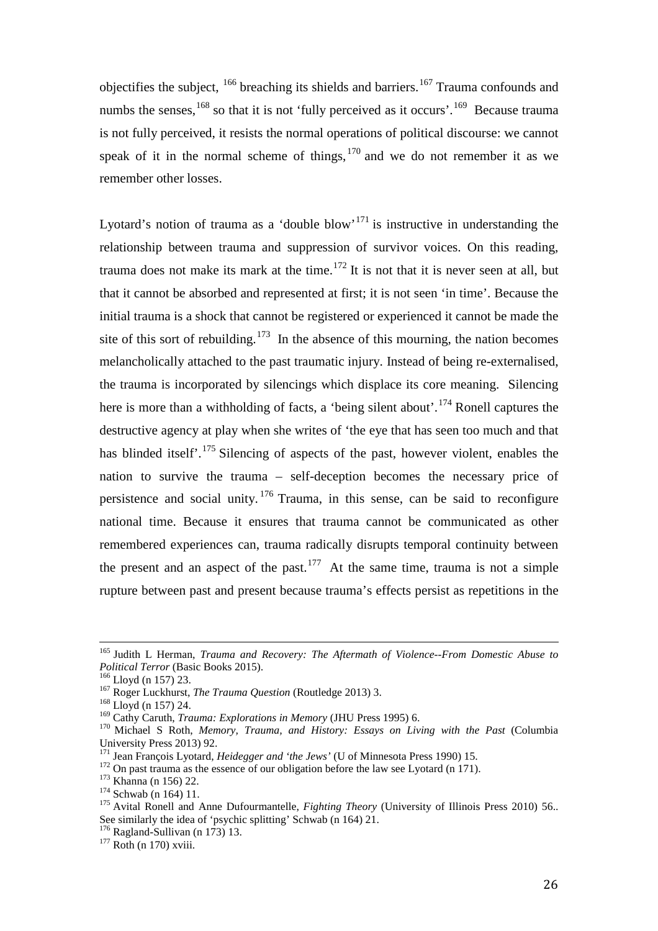objectifies the subject,  $166$  breaching its shields and barriers.<sup>[167](#page-26-1)</sup> Trauma confounds and numbs the senses,  $168$  so that it is not 'fully perceived as it occurs'.  $169$  Because trauma is not fully perceived, it resists the normal operations of political discourse: we cannot speak of it in the normal scheme of things,  $170$  and we do not remember it as we remember other losses.

Lyotard's notion of trauma as a 'double blow'<sup>[171](#page-26-5)</sup> is instructive in understanding the relationship between trauma and suppression of survivor voices. On this reading, trauma does not make its mark at the time.<sup>[172](#page-26-6)</sup> It is not that it is never seen at all, but that it cannot be absorbed and represented at first; it is not seen 'in time'. Because the initial trauma is a shock that cannot be registered or experienced it cannot be made the site of this sort of rebuilding.<sup>173</sup> In the absence of this mourning, the nation becomes melancholically attached to the past traumatic injury. Instead of being re-externalised, the trauma is incorporated by silencings which displace its core meaning. Silencing here is more than a withholding of facts, a 'being silent about'.<sup>[174](#page-26-8)</sup> Ronell captures the destructive agency at play when she writes of 'the eye that has seen too much and that has blinded itself<sup>'.[175](#page-26-9)</sup> Silencing of aspects of the past, however violent, enables the nation to survive the trauma – self-deception becomes the necessary price of persistence and social unity.  $176$  Trauma, in this sense, can be said to reconfigure national time. Because it ensures that trauma cannot be communicated as other remembered experiences can, trauma radically disrupts temporal continuity between the present and an aspect of the past.<sup>177</sup> At the same time, trauma is not a simple rupture between past and present because trauma's effects persist as repetitions in the

<sup>165</sup> Judith L Herman, *Trauma and Recovery: The Aftermath of Violence--From Domestic Abuse to Political Terror* (Basic Books 2015).<br><sup>166</sup> Lloyd (n 157) 23.<br><sup>167</sup> Roger Luckhurst, *The Trauma Question* (Routledge 2013) 3.<br><sup>168</sup> Lloyd (n 157) 24.<br><sup>169</sup> Cathy Caruth, *Trauma: Explorations in Memory* (JHU Press 1995)  $\overline{1}$ 

<span id="page-26-0"></span>

<span id="page-26-2"></span><span id="page-26-1"></span>

<span id="page-26-4"></span><span id="page-26-3"></span><sup>&</sup>lt;sup>170</sup> Michael S Roth, *Memory, Trauma, and History: Essays on Living with the Past* (Columbia University Press 2013) 92.<br><sup>171</sup> Jean François Lyotard, *Heidegger and 'the Jews'* (U of Minnesota Press 1990) 15.

<span id="page-26-9"></span><span id="page-26-8"></span>

<span id="page-26-7"></span><span id="page-26-6"></span><span id="page-26-5"></span><sup>&</sup>lt;sup>172</sup> On past trauma as the essence of our obligation before the law see Lyotard (n 171).<br><sup>173</sup> Khanna (n 156) 22.<br><sup>174</sup> Schwab (n 164) 11.<br><sup>175</sup> Avital Ronell and Anne Dufourmantelle, *Fighting Theory* (University of Ill See similarly the idea of 'psychic splitting' Schwab (n 164) 21.<br><sup>176</sup> Ragland-Sullivan (n 173) 13.<br><sup>177</sup> Roth (n 170) xviii.

<span id="page-26-10"></span>

<span id="page-26-11"></span>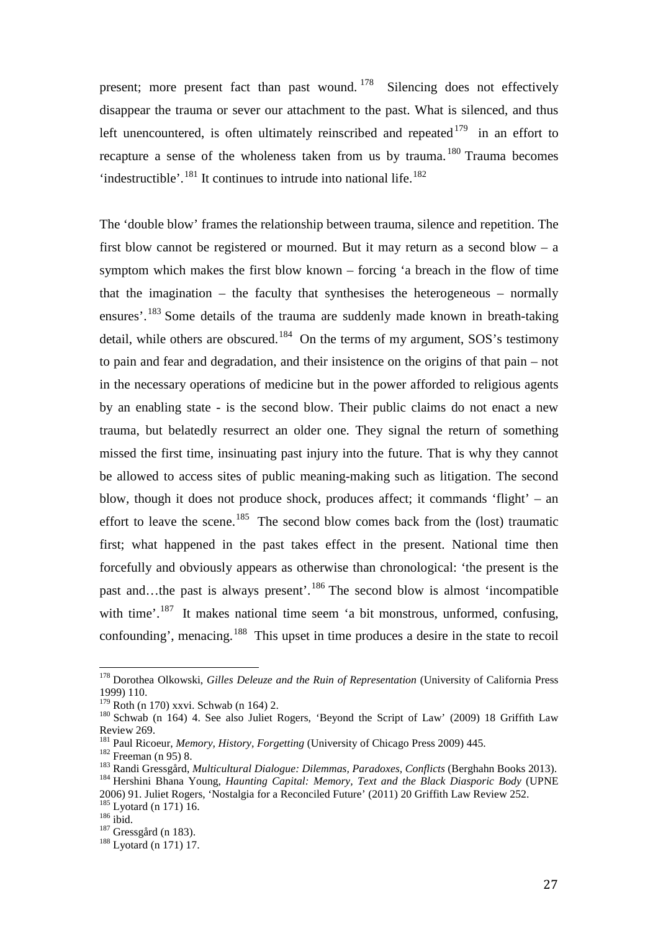present; more present fact than past wound. <sup>[178](#page-27-0)</sup> Silencing does not effectively disappear the trauma or sever our attachment to the past. What is silenced, and thus left unencountered, is often ultimately reinscribed and repeated  $179$  in an effort to recapture a sense of the wholeness taken from us by trauma. [180](#page-27-2) Trauma becomes 'indestructible'.<sup>[181](#page-27-3)</sup> It continues to intrude into national life.<sup>182</sup>

The 'double blow' frames the relationship between trauma, silence and repetition. The first blow cannot be registered or mourned. But it may return as a second blow – a symptom which makes the first blow known – forcing 'a breach in the flow of time that the imagination – the faculty that synthesises the heterogeneous – normally ensures'.<sup>[183](#page-27-5)</sup> Some details of the trauma are suddenly made known in breath-taking detail, while others are obscured.<sup>[184](#page-27-6)</sup> On the terms of my argument, SOS's testimony to pain and fear and degradation, and their insistence on the origins of that pain – not in the necessary operations of medicine but in the power afforded to religious agents by an enabling state - is the second blow. Their public claims do not enact a new trauma, but belatedly resurrect an older one. They signal the return of something missed the first time, insinuating past injury into the future. That is why they cannot be allowed to access sites of public meaning-making such as litigation. The second blow, though it does not produce shock, produces affect; it commands 'flight' – an effort to leave the scene.<sup>[185](#page-27-7)</sup> The second blow comes back from the (lost) traumatic first; what happened in the past takes effect in the present. National time then forcefully and obviously appears as otherwise than chronological: 'the present is the past and…the past is always present'.[186](#page-27-8) The second blow is almost 'incompatible with time'.<sup>[187](#page-27-9)</sup> It makes national time seem 'a bit monstrous, unformed, confusing, confounding', menacing.[188](#page-27-10) This upset in time produces a desire in the state to recoil

<span id="page-27-0"></span><sup>178</sup> Dorothea Olkowski, *Gilles Deleuze and the Ruin of Representation* (University of California Press 1999) 110.<br><sup>179</sup> Roth (n 170) xxvi. Schwab (n 164) 2.  $\overline{1}$ 

<span id="page-27-2"></span><span id="page-27-1"></span><sup>&</sup>lt;sup>180</sup> Schwab (n 164) 4. See also Juliet Rogers, 'Beyond the Script of Law' (2009) 18 Griffith Law Review 269.<br><sup>181</sup> Paul Ricoeur, *Memory, History, Forgetting* (University of Chicago Press 2009) 445.

<span id="page-27-6"></span><span id="page-27-5"></span><span id="page-27-4"></span><span id="page-27-3"></span><sup>&</sup>lt;sup>182</sup> Freeman (n 95) 8.<br><sup>183</sup> Randi Gressgård, *Multicultural Dialogue: Dilemmas, Paradoxes, Conflicts* (Berghahn Books 2013).<br><sup>184</sup> Hershini Bhana Young, *Haunting Capital: Memory, Text and the Black Diasporic Body* (UPN 2006) 91. Juliet Rogers, 'Nostalgia for a Reconciled Future' (2011) 20 Griffith Law Review 252. <sup>185</sup> Lyotard (n 171) 16.<br><sup>186</sup> ibid. <sup>187</sup> Gressgård (n 183). <sup>188</sup> Lyotard (n 171) 17.

<span id="page-27-9"></span><span id="page-27-8"></span><span id="page-27-7"></span>

<span id="page-27-10"></span>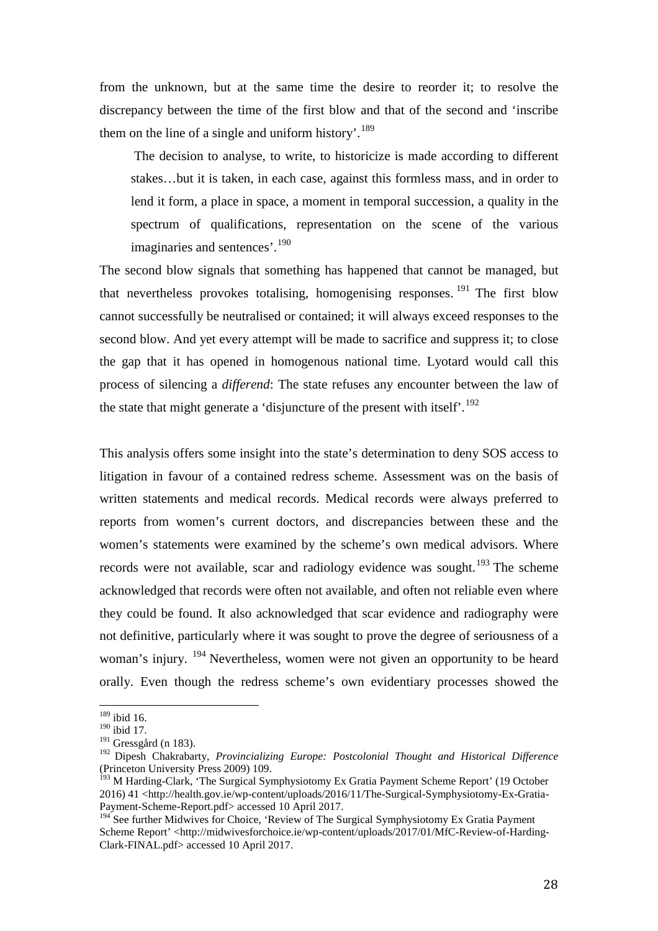from the unknown, but at the same time the desire to reorder it; to resolve the discrepancy between the time of the first blow and that of the second and 'inscribe them on the line of a single and uniform history'.<sup>[189](#page-28-0)</sup>

The decision to analyse, to write, to historicize is made according to different stakes…but it is taken, in each case, against this formless mass, and in order to lend it form, a place in space, a moment in temporal succession, a quality in the spectrum of qualifications, representation on the scene of the various imaginaries and sentences'.<sup>[190](#page-28-1)</sup>

The second blow signals that something has happened that cannot be managed, but that nevertheless provokes totalising, homogenising responses.  $^{191}$  $^{191}$  $^{191}$  The first blow cannot successfully be neutralised or contained; it will always exceed responses to the second blow. And yet every attempt will be made to sacrifice and suppress it; to close the gap that it has opened in homogenous national time. Lyotard would call this process of silencing a *differend*: The state refuses any encounter between the law of the state that might generate a 'disjuncture of the present with itself'.<sup>[192](#page-28-3)</sup>

This analysis offers some insight into the state's determination to deny SOS access to litigation in favour of a contained redress scheme. Assessment was on the basis of written statements and medical records. Medical records were always preferred to reports from women's current doctors, and discrepancies between these and the women's statements were examined by the scheme's own medical advisors. Where records were not available, scar and radiology evidence was sought.<sup>[193](#page-28-4)</sup> The scheme acknowledged that records were often not available, and often not reliable even where they could be found. It also acknowledged that scar evidence and radiography were not definitive, particularly where it was sought to prove the degree of seriousness of a woman's injury. <sup>[194](#page-28-5)</sup> Nevertheless, women were not given an opportunity to be heard orally. Even though the redress scheme's own evidentiary processes showed the

 $189$  ibid 16.  $\overline{1}$ 

<span id="page-28-1"></span><span id="page-28-0"></span><sup>&</sup>lt;sup>190</sup> ibid 17.<br><sup>191</sup> Gressgård (n 183).

<span id="page-28-3"></span><span id="page-28-2"></span><sup>&</sup>lt;sup>192</sup> Dipesh Chakrabarty, *Provincializing Europe: Postcolonial Thought and Historical Difference* (Princeton University Press 2009) 109.

<span id="page-28-4"></span><sup>&</sup>lt;sup>193</sup> M Harding-Clark, 'The Surgical Symphysiotomy Ex Gratia Payment Scheme Report' (19 October 2016) 41 <http://health.gov.ie/wp-content/uploads/2016/11/The-Surgical-Symphysiotomy-Ex-Gratia-Payment-Scheme-Report.pdf> accessed 10 April 2017.

<span id="page-28-5"></span><sup>&</sup>lt;sup>194</sup> See further Midwives for Choice, 'Review of The Surgical Symphysiotomy Ex Gratia Payment Scheme Report' <http://midwivesforchoice.ie/wp-content/uploads/2017/01/MfC-Review-of-Harding-Clark-FINAL.pdf> accessed 10 April 2017.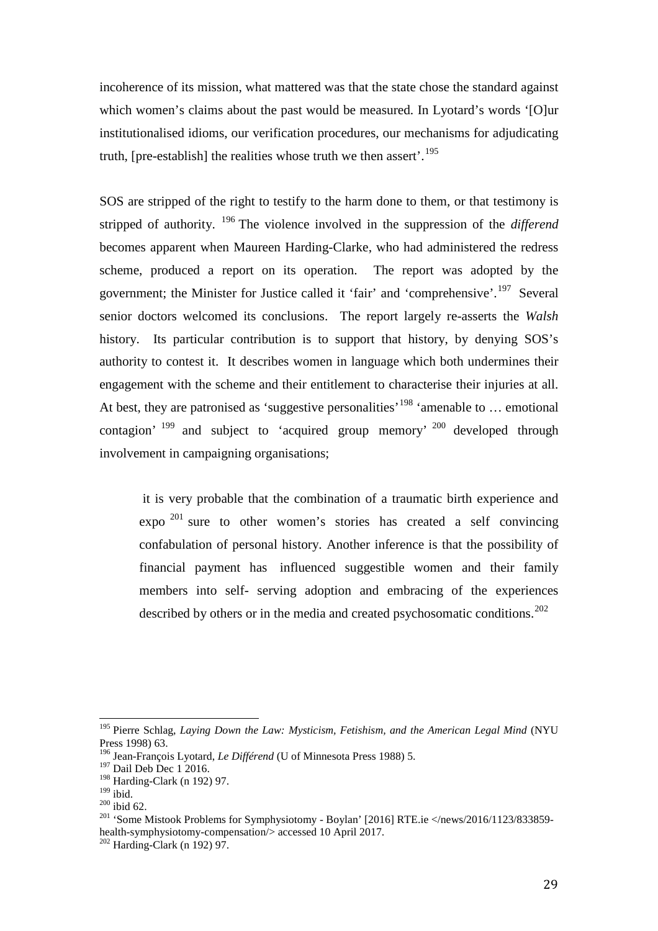incoherence of its mission, what mattered was that the state chose the standard against which women's claims about the past would be measured. In Lyotard's words '[O]ur institutionalised idioms, our verification procedures, our mechanisms for adjudicating truth, [pre-establish] the realities whose truth we then assert'.<sup>[195](#page-29-0)</sup>

SOS are stripped of the right to testify to the harm done to them, or that testimony is stripped of authority. [196](#page-29-1) The violence involved in the suppression of the *differend* becomes apparent when Maureen Harding-Clarke, who had administered the redress scheme, produced a report on its operation. The report was adopted by the government; the Minister for Justice called it 'fair' and 'comprehensive'.<sup>[197](#page-29-2)</sup> Several senior doctors welcomed its conclusions. The report largely re-asserts the *Walsh* history. Its particular contribution is to support that history, by denying SOS's authority to contest it. It describes women in language which both undermines their engagement with the scheme and their entitlement to characterise their injuries at all. At best, they are patronised as 'suggestive personalities' <sup>[198](#page-29-3)</sup> 'amenable to ... emotional contagion' [199](#page-29-4) and subject to 'acquired group memory' [200](#page-29-5) developed through involvement in campaigning organisations;

it is very probable that the combination of a traumatic birth experience and expo  $201$  sure to other women's stories has created a self convincing confabulation of personal history. Another inference is that the possibility of financial payment has influenced suggestible women and their family members into self- serving adoption and embracing of the experiences described by others or in the media and created psychosomatic conditions.<sup>[202](#page-29-7)</sup>

<span id="page-29-0"></span><sup>195</sup> Pierre Schlag, *Laying Down the Law: Mysticism, Fetishism, and the American Legal Mind* (NYU Press 1998) 63.  $\overline{1}$ 

<span id="page-29-1"></span><sup>196</sup> Jean-François Lyotard, *Le Différend* (U of Minnesota Press 1988) 5.

<sup>&</sup>lt;sup>197</sup> Dail Deb Dec 1 2016.

<span id="page-29-4"></span><span id="page-29-3"></span><span id="page-29-2"></span> $^{198}_{199}$  Harding-Clark (n 192) 97.<br> $^{199}_{199}$  ibid.

<span id="page-29-6"></span><span id="page-29-5"></span><sup>&</sup>lt;sup>200</sup> ibid 62.<br><sup>201</sup> 'Some Mistook Problems for Symphysiotomy - Boylan' [2016] RTE.ie  $\langle$ /news/2016/1123/833859health-symphysiotomy-compensation/> accessed 10 April 2017.<br><sup>202</sup> Harding-Clark (n 192) 97.

<span id="page-29-7"></span>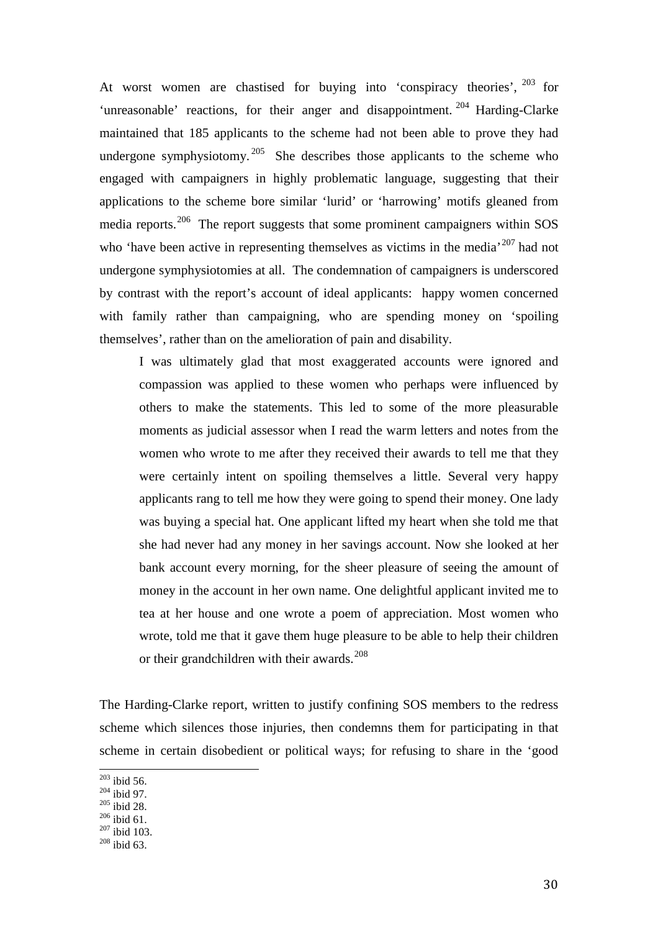At worst women are chastised for buying into 'conspiracy theories', <sup>[203](#page-30-0)</sup> for 'unreasonable' reactions, for their anger and disappointment.<sup>[204](#page-30-1)</sup> Harding-Clarke maintained that 185 applicants to the scheme had not been able to prove they had undergone symphysiotomy.<sup>[205](#page-30-2)</sup> She describes those applicants to the scheme who engaged with campaigners in highly problematic language, suggesting that their applications to the scheme bore similar 'lurid' or 'harrowing' motifs gleaned from media reports.<sup>[206](#page-30-3)</sup> The report suggests that some prominent campaigners within SOS who 'have been active in representing themselves as victims in the media'<sup>[207](#page-30-4)</sup> had not undergone symphysiotomies at all. The condemnation of campaigners is underscored by contrast with the report's account of ideal applicants: happy women concerned with family rather than campaigning, who are spending money on 'spoiling themselves', rather than on the amelioration of pain and disability.

I was ultimately glad that most exaggerated accounts were ignored and compassion was applied to these women who perhaps were influenced by others to make the statements. This led to some of the more pleasurable moments as judicial assessor when I read the warm letters and notes from the women who wrote to me after they received their awards to tell me that they were certainly intent on spoiling themselves a little. Several very happy applicants rang to tell me how they were going to spend their money. One lady was buying a special hat. One applicant lifted my heart when she told me that she had never had any money in her savings account. Now she looked at her bank account every morning, for the sheer pleasure of seeing the amount of money in the account in her own name. One delightful applicant invited me to tea at her house and one wrote a poem of appreciation. Most women who wrote, told me that it gave them huge pleasure to be able to help their children or their grandchildren with their awards.<sup>[208](#page-30-5)</sup>

The Harding-Clarke report, written to justify confining SOS members to the redress scheme which silences those injuries, then condemns them for participating in that scheme in certain disobedient or political ways; for refusing to share in the 'good

 $203$  ibid 56.

<span id="page-30-2"></span>

<span id="page-30-4"></span><span id="page-30-3"></span>

<span id="page-30-1"></span><span id="page-30-0"></span><sup>&</sup>lt;sup>204</sup> ibid 97.<br><sup>205</sup> ibid 28.<br><sup>206</sup> ibid 61.<br><sup>207</sup> ibid 103.<br><sup>208</sup> ibid 63.

<span id="page-30-5"></span>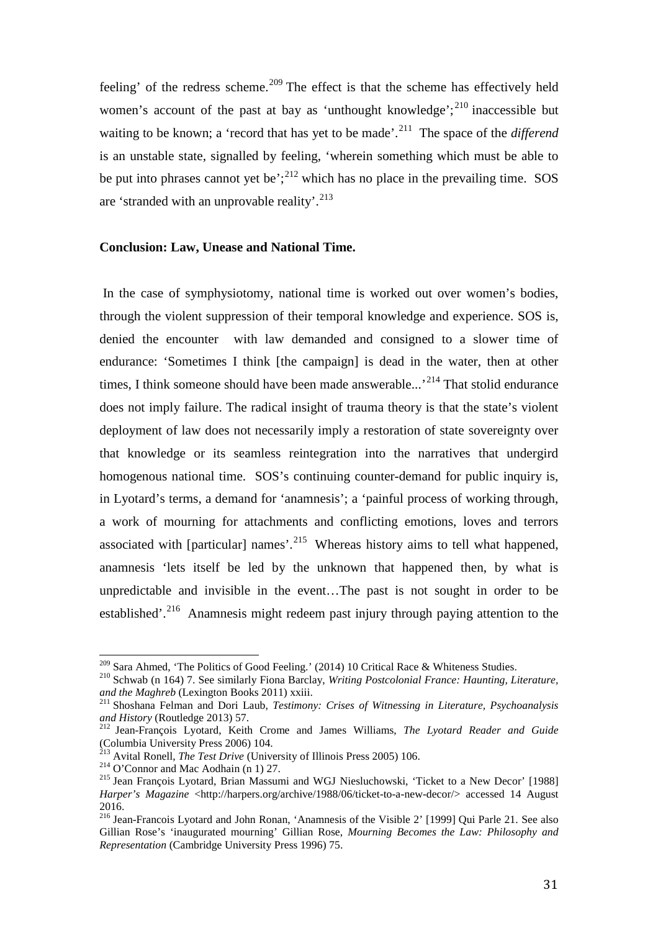feeling' of the redress scheme.<sup>[209](#page-31-0)</sup> The effect is that the scheme has effectively held women's account of the past at bay as 'unthought knowledge'; $^{210}$  $^{210}$  $^{210}$  inaccessible but waiting to be known; a 'record that has yet to be made'.<sup>211</sup> The space of the *differend* is an unstable state, signalled by feeling, 'wherein something which must be able to be put into phrases cannot yet be';<sup>[212](#page-31-3)</sup> which has no place in the prevailing time. SOS are 'stranded with an unprovable reality'.<sup>[213](#page-31-4)</sup>

### **Conclusion: Law, Unease and National Time.**

In the case of symphysiotomy, national time is worked out over women's bodies, through the violent suppression of their temporal knowledge and experience. SOS is, denied the encounter with law demanded and consigned to a slower time of endurance: 'Sometimes I think [the campaign] is dead in the water, then at other times, I think someone should have been made answerable...<sup>[214](#page-31-5)</sup> That stolid endurance does not imply failure. The radical insight of trauma theory is that the state's violent deployment of law does not necessarily imply a restoration of state sovereignty over that knowledge or its seamless reintegration into the narratives that undergird homogenous national time. SOS's continuing counter-demand for public inquiry is, in Lyotard's terms, a demand for 'anamnesis'; a 'painful process of working through, a work of mourning for attachments and conflicting emotions, loves and terrors associated with [particular] names'.<sup>[215](#page-31-6)</sup> Whereas history aims to tell what happened, anamnesis 'lets itself be led by the unknown that happened then, by what is unpredictable and invisible in the event…The past is not sought in order to be established'.<sup>[216](#page-31-7)</sup> Anamnesis might redeem past injury through paying attention to the

<span id="page-31-0"></span><sup>&</sup>lt;sup>209</sup> Sara Ahmed, 'The Politics of Good Feeling.' (2014) 10 Critical Race & Whiteness Studies.

<sup>&</sup>lt;sup>210</sup> Schwab (n 164) 7. See similarly Fiona Barclay, *Writing Postcolonial France: Haunting, Literature,* 

<span id="page-31-2"></span><span id="page-31-1"></span>*and the Maghreb* (Lexington Books 2011) xxiii.<br><sup>211</sup> Shoshana Felman and Dori Laub, *Testimony: Crises of Witnessing in Literature, Psychoanalysis and History* (Routledge 2013) 57.

<span id="page-31-3"></span><sup>&</sup>lt;sup>212</sup> Jean-François Lyotard, Keith Crome and James Williams, *The Lyotard Reader and Guide* (Columbia University Press 2006) 104.<br><sup>213</sup> Avital Ronell, *The Test Drive* (University of Illinois Press 2005) 106.

<span id="page-31-4"></span>

<span id="page-31-6"></span><span id="page-31-5"></span><sup>&</sup>lt;sup>214</sup> O'Connor and Mac Aodhain (n 1) 27.<br><sup>215</sup> Jean François Lyotard, Brian Massumi and WGJ Niesluchowski, 'Ticket to a New Decor' [1988] *Harper's Magazine* <http://harpers.org/archive/1988/06/ticket-to-a-new-decor/> accessed 14 August 2016.

<span id="page-31-7"></span><sup>216</sup> Jean-Francois Lyotard and John Ronan, 'Anamnesis of the Visible 2' [1999] Qui Parle 21. See also Gillian Rose's 'inaugurated mourning' Gillian Rose, *Mourning Becomes the Law: Philosophy and Representation* (Cambridge University Press 1996) 75.